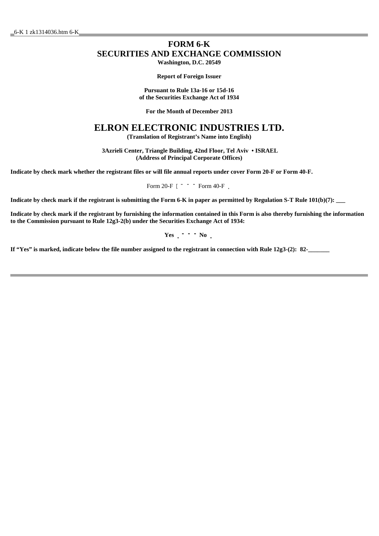# **FORM 6-K SECURITIES AND EXCHANGE COMMISSION**

**Washington, D.C. 20549**

**Report of Foreign Issuer**

**Pursuant to Rule 13a-16 or 15d-16 of the Securities Exchange Act of 1934**

**For the Month of December 2013**

## **ELRON ELECTRONIC INDUSTRIES LTD.**

**(Translation of Registrant's Name into English)**

 **3Azrieli Center, Triangle Building, 42nd Floor, Tel Aviv • ISRAEL (Address of Principal Corporate Offices)**

**Indicate by check mark whether the registrant files or will file annual reports under cover Form 20-F or Form 40-F.**

Form 20-F  $[$  " " " Form 40-F  $\,$ 

Indicate by check mark if the registrant is submitting the Form 6-K in paper as permitted by Regulation S-T Rule 101(b)(7):

**Indicate by check mark if the registrant by furnishing the information contained in this Form is also thereby furnishing the information to the Commission pursuant to Rule 12g3-2(b) under the Securities Exchange Act of 1934:**

**Yes**  $\cdot$  **\* \* No**  $\cdot$ 

**If "Yes" is marked, indicate below the file number assigned to the registrant in connection with Rule 12g3-(2): 82-\_\_\_\_\_\_\_**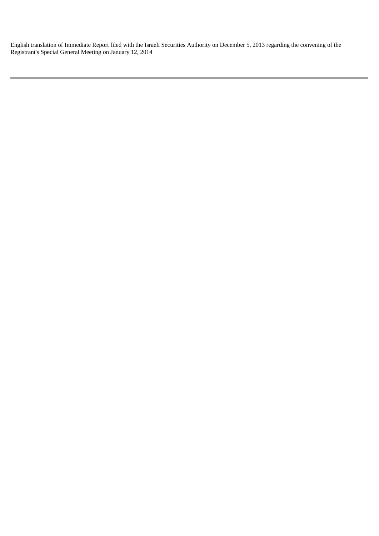English translation of Immediate Report filed with the Israeli Securities Authority on December 5, 2013 regarding the convening of the Registrant's Special General Meeting on January 12, 2014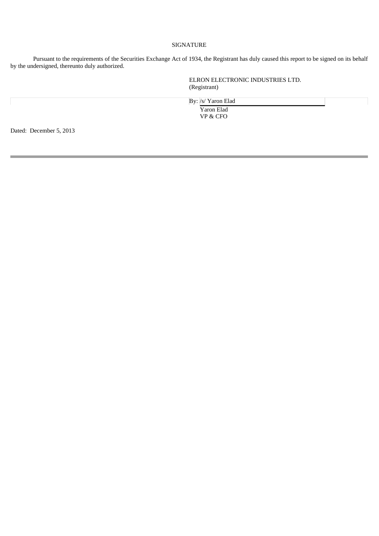#### SIGNATURE

 Pursuant to the requirements of the Securities Exchange Act of 1934, the Registrant has duly caused this report to be signed on its behalf by the undersigned, thereunto duly authorized.

> ELRON ELECTRONIC INDUSTRIES LTD. (Registrant)

By: /s/ Yaron Elad Yaron Elad VP & CFO

Dated: December 5, 2013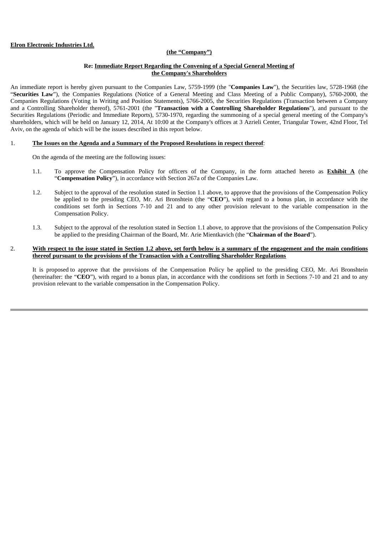#### **Elron Electronic Industries Ltd.**

#### **(the "Company")**

#### **Re: Immediate Report Regarding the Convening of a Special General Meeting of the Company's Shareholders**

An immediate report is hereby given pursuant to the Companies Law, 5759-1999 (the "**Companies Law**"), the Securities law, 5728-1968 (the "Securities Law"), the Companies Regulations (Notice of a General Meeting and Class Meeting of a Public Company), 5760-2000, the Companies Regulations (Voting in Writing and Position Statements), 5766-2005, the Securities Regulations (Transaction between a Company and a Controlling Shareholder thereof), 5761-2001 (the "**Transaction with a Controlling Shareholder Regulations**"), and pursuant to the Securities Regulations (Periodic and Immediate Reports), 5730-1970, regarding the summoning of a special general meeting of the Company's shareholders, which will be held on January 12, 2014, At 10:00 at the Company's offices at 3 Azrieli Center, Triangular Tower, 42nd Floor, Tel Aviv, on the agenda of which will be the issues described in this report below.

#### 1. **The Issues on the Agenda and a Summary of the Proposed Resolutions in respect thereof**:

On the agenda of the meeting are the following issues:

- 1.1. To approve the Compensation Policy for officers of the Company, in the form attached hereto as **Exhibit A** (the "**Compensation Policy**"), in accordance with Section 267a of the Companies Law.
- 1.2. Subject to the approval of the resolution stated in Section 1.1 above, to approve that the provisions of the Compensation Policy be applied to the presiding CEO, Mr. Ari Bronshtein (the "**CEO**"), with regard to a bonus plan, in accordance with the conditions set forth in Sections 7-10 and 21 and to any other provision relevant to the variable compensation in the Compensation Policy.
- 1.3. Subject to the approval of the resolution stated in Section 1.1 above, to approve that the provisions of the Compensation Policy be applied to the presiding Chairman of the Board, Mr. Arie Mientkavich (the "**Chairman of the Board**").

#### 2. **With respect to the issue stated in Section 1.2 above, set forth below is a summary of the engagement and the main conditions thereof pursuant to the provisions of the Transaction with a Controlling Shareholder Regulations**

It is proposed to approve that the provisions of the Compensation Policy be applied to the presiding CEO, Mr. Ari Bronshtein (hereinafter: the "**CEO**"), with regard to a bonus plan, in accordance with the conditions set forth in Sections 7-10 and 21 and to any provision relevant to the variable compensation in the Compensation Policy.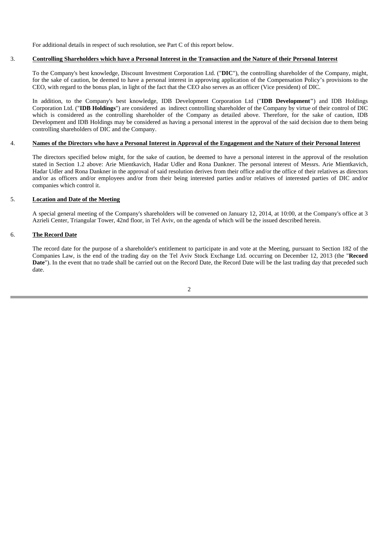For additional details in respect of such resolution, see Part C of this report below.

#### 3. **Controlling Shareholders which have a Personal Interest in the Transaction and the Nature of their Personal Interest**

To the Company's best knowledge, Discount Investment Corporation Ltd. ("**DIC**"), the controlling shareholder of the Company, might, for the sake of caution, be deemed to have a personal interest in approving application of the Compensation Policy's provisions to the CEO, with regard to the bonus plan, in light of the fact that the CEO also serves as an officer (Vice president) of DIC.

In addition, to the Company's best knowledge, IDB Development Corporation Ltd ("**IDB Development"**) and IDB Holdings Corporation Ltd. ("**IDB Holdings**") are considered as indirect controlling shareholder of the Company by virtue of their control of DIC which is considered as the controlling shareholder of the Company as detailed above. Therefore, for the sake of caution, IDB Development and IDB Holdings may be considered as having a personal interest in the approval of the said decision due to them being controlling shareholders of DIC and the Company.

#### 4. **Names of the Directors who have a Personal Interest in Approval of the Engagement and the Nature of their Personal Interest**

The directors specified below might, for the sake of caution, be deemed to have a personal interest in the approval of the resolution stated in Section 1.2 above: Arie Mientkavich, Hadar Udler and Rona Dankner. The personal interest of Messrs. Arie Mientkavich, Hadar Udler and Rona Dankner in the approval of said resolution derives from their office and/or the office of their relatives as directors and/or as officers and/or employees and/or from their being interested parties and/or relatives of interested parties of DIC and/or companies which control it.

#### 5. **Location and Date of the Meeting**

A special general meeting of the Company's shareholders will be convened on January 12, 2014, at 10:00, at the Company's office at 3 Azrieli Center, Triangular Tower, 42nd floor, in Tel Aviv, on the agenda of which will be the issued described herein.

#### 6. **The Record Date**

The record date for the purpose of a shareholder's entitlement to participate in and vote at the Meeting, pursuant to Section 182 of the Companies Law, is the end of the trading day on the Tel Aviv Stock Exchange Ltd. occurring on December 12, 2013 (the "**Record**  Date"). In the event that no trade shall be carried out on the Record Date, the Record Date will be the last trading day that preceded such date.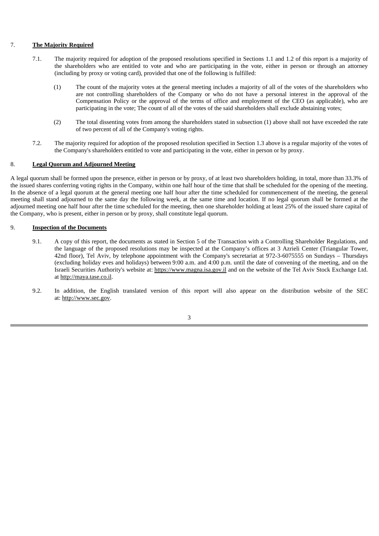#### 7. **The Majority Required**

- 7.1. The majority required for adoption of the proposed resolutions specified in Sections 1.1 and 1.2 of this report is a majority of the shareholders who are entitled to vote and who are participating in the vote, either in person or through an attorney (including by proxy or voting card), provided that one of the following is fulfilled:
	- (1) The count of the majority votes at the general meeting includes a majority of all of the votes of the shareholders who are not controlling shareholders of the Company or who do not have a personal interest in the approval of the Compensation Policy or the approval of the terms of office and employment of the CEO (as applicable), who are participating in the vote; The count of all of the votes of the said shareholders shall exclude abstaining votes;
	- (2) The total dissenting votes from among the shareholders stated in subsection (1) above shall not have exceeded the rate of two percent of all of the Company's voting rights.
- 7.2. The majority required for adoption of the proposed resolution specified in Section 1.3 above is a regular majority of the votes of the Company's shareholders entitled to vote and participating in the vote, either in person or by proxy.

#### 8. **Legal Quorum and Adjourned Meeting**

A legal quorum shall be formed upon the presence, either in person or by proxy, of at least two shareholders holding, in total, more than 33.3% of the issued shares conferring voting rights in the Company, within one half hour of the time that shall be scheduled for the opening of the meeting. In the absence of a legal quorum at the general meeting one half hour after the time scheduled for commencement of the meeting, the general meeting shall stand adjourned to the same day the following week, at the same time and location. If no legal quorum shall be formed at the adjourned meeting one half hour after the time scheduled for the meeting, then one shareholder holding at least 25% of the issued share capital of the Company, who is present, either in person or by proxy, shall constitute legal quorum.

#### 9. **Inspection of the Documents**

- 9.1. A copy of this report, the documents as stated in Section 5 of the Transaction with a Controlling Shareholder Regulations, and the language of the proposed resolutions may be inspected at the Company's offices at 3 Azrieli Center (Triangular Tower, 42nd floor), Tel Aviv, by telephone appointment with the Company's secretariat at 972-3-6075555 on Sundays – Thursdays (excluding holiday eves and holidays) between 9:00 a.m. and 4:00 p.m. until the date of convening of the meeting, and on the Israeli Securities Authority's website at: https://www.magna.isa.gov.il and on the website of the Tel Aviv Stock Exchange Ltd. at http://maya.tase.co.il.
- 9.2. In addition, the English translated version of this report will also appear on the distribution website of the SEC at: http://www.sec.gov.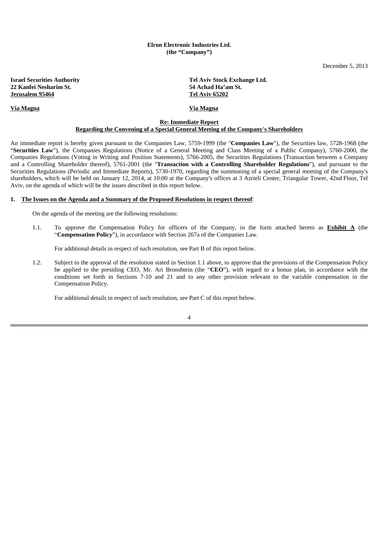#### **Elron Electronic Industries Ltd. (the "Company")**

December 5, 2013

**22 Kanfei Nesharim St. 54 Achad Ha'am St. Jerusalem 95464** 

**Via Magna Via Magna**

**Israel Securities Authority Tel Aviv Stock Exchange Ltd.** 

#### **Re: Immediate Report Regarding the Convening of a Special General Meeting of the Company's Shareholders**

An immediate report is hereby given pursuant to the Companies Law, 5759-1999 (the "**Companies Law**"), the Securities law, 5728-1968 (the "**Securities Law**"), the Companies Regulations (Notice of a General Meeting and Class Meeting of a Public Company), 5760-2000, the Companies Regulations (Voting in Writing and Position Statements), 5766-2005, the Securities Regulations (Transaction between a Company and a Controlling Shareholder thereof), 5761-2001 (the "**Transaction with a Controlling Shareholder Regulations**"), and pursuant to the Securities Regulations (Periodic and Immediate Reports), 5730-1970, regarding the summoning of a special general meeting of the Company's shareholders, which will be held on January 12, 2014, at 10:00 at the Company's offices at 3 Azrieli Center, Triangular Tower, 42nd Floor, Tel Aviv, on the agenda of which will be the issues described in this report below.

#### **1. The Issues on the Agenda and a Summary of the Proposed Resolutions in respect thereof**:

On the agenda of the meeting are the following resolutions:

1.1. To approve the Compensation Policy for officers of the Company, in the form attached hereto as **Exhibit A** (the "**Compensation Policy**"), in accordance with Section 267a of the Companies Law.

For additional details in respect of such resolution, see Part B of this report below.

1.2. Subject to the approval of the resolution stated in Section 1.1 above, to approve that the provisions of the Compensation Policy be applied to the presiding CEO, Mr. Ari Bronshtein (the "**CEO**"), with regard to a bonus plan, in accordance with the conditions set forth in Sections 7-10 and 21 and to any other provision relevant to the variable compensation in the Compensation Policy.

For additional details in respect of such resolution, see Part C of this report below.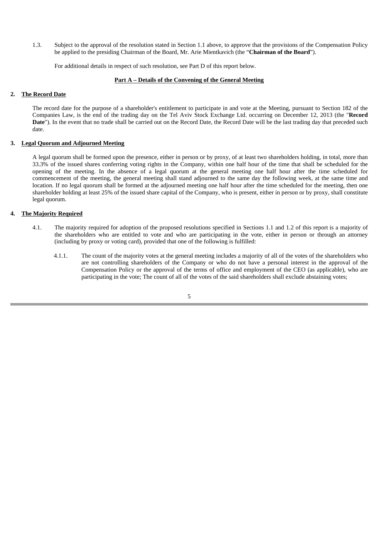1.3. Subject to the approval of the resolution stated in Section 1.1 above, to approve that the provisions of the Compensation Policy be applied to the presiding Chairman of the Board, Mr. Arie Mientkavich (the "**Chairman of the Board**").

For additional details in respect of such resolution, see Part D of this report below.

#### **Part A – Details of the Convening of the General Meeting**

#### **2. The Record Date**

The record date for the purpose of a shareholder's entitlement to participate in and vote at the Meeting, pursuant to Section 182 of the Companies Law, is the end of the trading day on the Tel Aviv Stock Exchange Ltd. occurring on December 12, 2013 (the "**Record**  Date"). In the event that no trade shall be carried out on the Record Date, the Record Date will be the last trading day that preceded such date.

#### **3. Legal Quorum and Adjourned Meeting**

A legal quorum shall be formed upon the presence, either in person or by proxy, of at least two shareholders holding, in total, more than 33.3% of the issued shares conferring voting rights in the Company, within one half hour of the time that shall be scheduled for the opening of the meeting. In the absence of a legal quorum at the general meeting one half hour after the time scheduled for commencement of the meeting, the general meeting shall stand adjourned to the same day the following week, at the same time and location. If no legal quorum shall be formed at the adjourned meeting one half hour after the time scheduled for the meeting, then one shareholder holding at least 25% of the issued share capital of the Company, who is present, either in person or by proxy, shall constitute legal quorum.

#### **4. The Majority Required**

- 4.1. The majority required for adoption of the proposed resolutions specified in Sections 1.1 and 1.2 of this report is a majority of the shareholders who are entitled to vote and who are participating in the vote, either in person or through an attorney (including by proxy or voting card), provided that one of the following is fulfilled:
	- 4.1.1. The count of the majority votes at the general meeting includes a majority of all of the votes of the shareholders who are not controlling shareholders of the Company or who do not have a personal interest in the approval of the Compensation Policy or the approval of the terms of office and employment of the CEO (as applicable), who are participating in the vote; The count of all of the votes of the said shareholders shall exclude abstaining votes;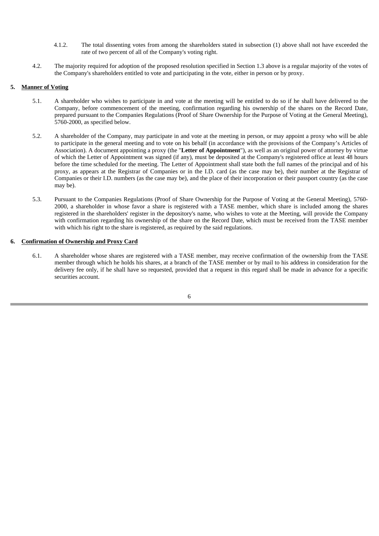- 4.1.2. The total dissenting votes from among the shareholders stated in subsection (1) above shall not have exceeded the rate of two percent of all of the Company's voting right.
- 4.2. The majority required for adoption of the proposed resolution specified in Section 1.3 above is a regular majority of the votes of the Company's shareholders entitled to vote and participating in the vote, either in person or by proxy.

#### **5. Manner of Voting**

- 5.1. A shareholder who wishes to participate in and vote at the meeting will be entitled to do so if he shall have delivered to the Company, before commencement of the meeting, confirmation regarding his ownership of the shares on the Record Date, prepared pursuant to the Companies Regulations (Proof of Share Ownership for the Purpose of Voting at the General Meeting), 5760-2000, as specified below.
- 5.2. A shareholder of the Company, may participate in and vote at the meeting in person, or may appoint a proxy who will be able to participate in the general meeting and to vote on his behalf (in accordance with the provisions of the Company's Articles of Association). A document appointing a proxy (the "**Letter of Appointment**"), as well as an original power of attorney by virtue of which the Letter of Appointment was signed (if any), must be deposited at the Company's registered office at least 48 hours before the time scheduled for the meeting. The Letter of Appointment shall state both the full names of the principal and of his proxy, as appears at the Registrar of Companies or in the I.D. card (as the case may be), their number at the Registrar of Companies or their I.D. numbers (as the case may be), and the place of their incorporation or their passport country (as the case may be).
- 5.3. Pursuant to the Companies Regulations (Proof of Share Ownership for the Purpose of Voting at the General Meeting), 5760- 2000, a shareholder in whose favor a share is registered with a TASE member, which share is included among the shares registered in the shareholders' register in the depository's name, who wishes to vote at the Meeting, will provide the Company with confirmation regarding his ownership of the share on the Record Date, which must be received from the TASE member with which his right to the share is registered, as required by the said regulations.

#### **6. Confirmation of Ownership and Proxy Card**

6.1. A shareholder whose shares are registered with a TASE member, may receive confirmation of the ownership from the TASE member through which he holds his shares, at a branch of the TASE member or by mail to his address in consideration for the delivery fee only, if he shall have so requested, provided that a request in this regard shall be made in advance for a specific securities account.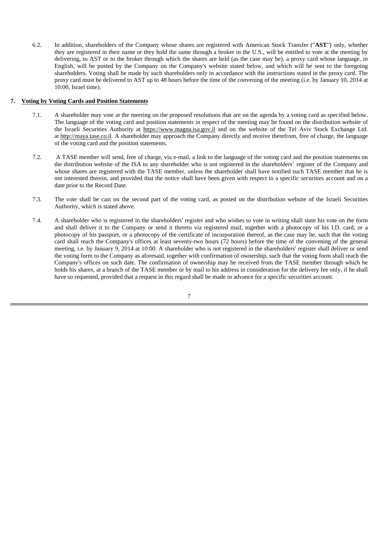6.2. In addition, shareholders of the Company whose shares are registered with American Stock Transfer ("**AST**") only, whether they are registered in their name or they hold the same through a broker in the U.S., will be entitled to vote at the meeting by delivering, to AST or to the broker through which the shares are held (as the case may be), a proxy card whose language, in English, will be posted by the Company on the Company's website stated below, and which will be sent to the foregoing shareholders. Voting shall be made by such shareholders only in accordance with the instructions stated in the proxy card. The proxy card must be delivered to AST up to 48 hours before the time of the convening of the meeting (i.e. by January 10, 2014 at 10:00, Israel time).

#### **7. Voting by Voting Cards and Position Statements**

- 7.1. A shareholder may vote at the meeting on the proposed resolutions that are on the agenda by a voting card as specified below. The language of the voting card and position statements in respect of the meeting may be found on the distribution website of the Israeli Securities Authority at https://www.magna.isa.gov.il and on the website of the Tel Aviv Stock Exchange Ltd. at http://maya.tase.co.il. A shareholder may approach the Company directly and receive therefrom, free of charge, the language of the voting card and the position statements.
- 7.2. A TASE member will send, free of charge, via e-mail, a link to the language of the voting card and the position statements on the distribution website of the ISA to any shareholder who is not registered in the shareholders' register of the Company and whose shares are registered with the TASE member, unless the shareholder shall have notified such TASE member that he is not interested therein, and provided that the notice shall have been given with respect to a specific securities account and on a date prior to the Record Date.
- 7.3. The vote shall be cast on the second part of the voting card, as posted on the distribution website of the Israeli Securities Authority, which is stated above.
- 7.4. A shareholder who is registered in the shareholders' register and who wishes to vote in writing shall state his vote on the form and shall deliver it to the Company or send it thereto via registered mail, together with a photocopy of his I.D. card, or a photocopy of his passport, or a photocopy of the certificate of incorporation thereof, as the case may be, such that the voting card shall reach the Company's offices at least seventy-two hours (72 hours) before the time of the convening of the general meeting, i.e. by January 9, 2014 at 10:00. A shareholder who is not registered in the shareholders' register shall deliver or send the voting form to the Company as aforesaid, together with confirmation of ownership, such that the voting form shall reach the Company's offices on such date. The confirmation of ownership may be received from the TASE member through which he holds his shares, at a branch of the TASE member or by mail to his address in consideration for the delivery fee only, if he shall have so requested, provided that a request in this regard shall be made in advance for a specific securities account.

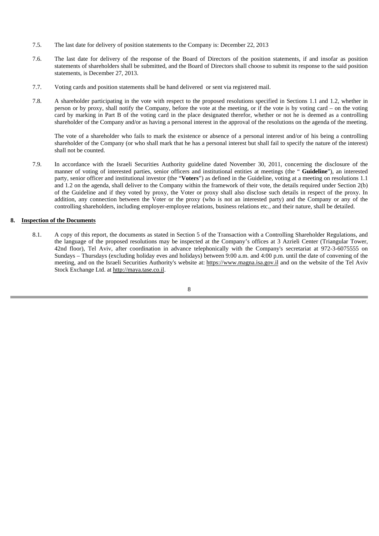- 7.5. The last date for delivery of position statements to the Company is: December 22, 2013
- 7.6. The last date for delivery of the response of the Board of Directors of the position statements, if and insofar as position statements of shareholders shall be submitted, and the Board of Directors shall choose to submit its response to the said position statements, is December 27, 2013.
- 7.7. Voting cards and position statements shall be hand delivered or sent via registered mail.
- 7.8. A shareholder participating in the vote with respect to the proposed resolutions specified in Sections 1.1 and 1.2, whether in person or by proxy, shall notify the Company, before the vote at the meeting, or if the vote is by voting card – on the voting card by marking in Part B of the voting card in the place designated therefor, whether or not he is deemed as a controlling shareholder of the Company and/or as having a personal interest in the approval of the resolutions on the agenda of the meeting.

The vote of a shareholder who fails to mark the existence or absence of a personal interest and/or of his being a controlling shareholder of the Company (or who shall mark that he has a personal interest but shall fail to specify the nature of the interest) shall not be counted.

7.9. In accordance with the Israeli Securities Authority guideline dated November 30, 2011, concerning the disclosure of the manner of voting of interested parties, senior officers and institutional entities at meetings (the " **Guideline**"), an interested party, senior officer and institutional investor (the "**Voters**") as defined in the Guideline, voting at a meeting on resolutions 1.1 and 1.2 on the agenda, shall deliver to the Company within the framework of their vote, the details required under Section 2(b) of the Guideline and if they voted by proxy, the Voter or proxy shall also disclose such details in respect of the proxy. In addition, any connection between the Voter or the proxy (who is not an interested party) and the Company or any of the controlling shareholders, including employer-employee relations, business relations etc., and their nature, shall be detailed.

#### **8. Inspection of the Documents**

8.1. A copy of this report, the documents as stated in Section 5 of the Transaction with a Controlling Shareholder Regulations, and the language of the proposed resolutions may be inspected at the Company's offices at 3 Azrieli Center (Triangular Tower, 42nd floor), Tel Aviv, after coordination in advance telephonically with the Company's secretariat at 972-3-6075555 on Sundays – Thursdays (excluding holiday eves and holidays) between 9:00 a.m. and 4:00 p.m. until the date of convening of the meeting, and on the Israeli Securities Authority's website at: https://www.magna.isa.gov.il and on the website of the Tel Aviv Stock Exchange Ltd. at http://maya.tase.co.il.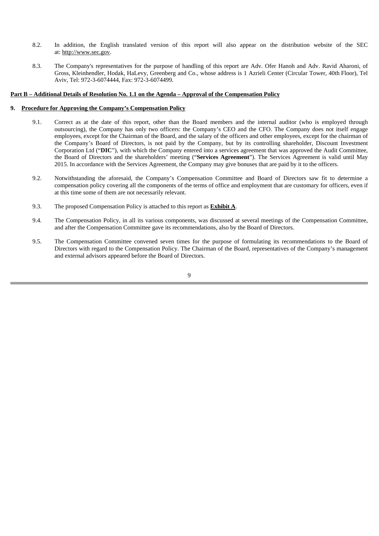- 8.2. In addition, the English translated version of this report will also appear on the distribution website of the SEC at: http://www.sec.gov.
- 8.3. The Company's representatives for the purpose of handling of this report are Adv. Ofer Hanoh and Adv. Ravid Aharoni, of Gross, Kleinhendler, Hodak, HaLevy, Greenberg and Co., whose address is 1 Azrieli Center (Circular Tower, 40th Floor), Tel Aviv, Tel: 972-3-6074444, Fax: 972-3-6074499.

#### **Part B – Additional Details of Resolution No. 1.1 on the Agenda – Approval of the Compensation Policy**

#### **9. Procedure for Approving the Company's Compensation Policy**

- 9.1. Correct as at the date of this report, other than the Board members and the internal auditor (who is employed through outsourcing), the Company has only two officers: the Company's CEO and the CFO. The Company does not itself engage employees, except for the Chairman of the Board, and the salary of the officers and other employees, except for the chairman of the Company's Board of Directors, is not paid by the Company, but by its controlling shareholder, Discount Investment Corporation Ltd ("**DIC**"), with which the Company entered into a services agreement that was approved the Audit Committee, the Board of Directors and the shareholders' meeting ("**Services Agreement**"). The Services Agreement is valid until May 2015. In accordance with the Services Agreement, the Company may give bonuses that are paid by it to the officers.
- 9.2. Notwithstanding the aforesaid, the Company's Compensation Committee and Board of Directors saw fit to determine a compensation policy covering all the components of the terms of office and employment that are customary for officers, even if at this time some of them are not necessarily relevant.
- 9.3. The proposed Compensation Policy is attached to this report as **Exhibit A**.
- 9.4. The Compensation Policy, in all its various components, was discussed at several meetings of the Compensation Committee, and after the Compensation Committee gave its recommendations, also by the Board of Directors.
- 9.5. The Compensation Committee convened seven times for the purpose of formulating its recommendations to the Board of Directors with regard to the Compensation Policy. The Chairman of the Board, representatives of the Company's management and external advisors appeared before the Board of Directors.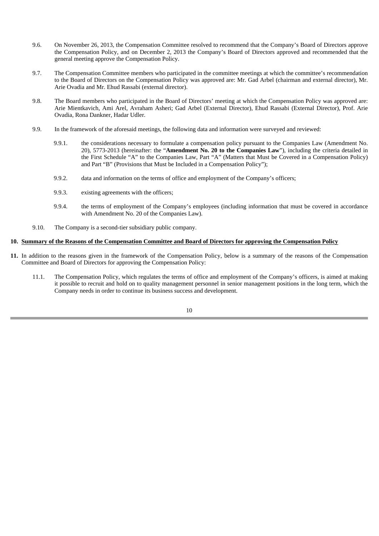- 9.6. On November 26, 2013, the Compensation Committee resolved to recommend that the Company's Board of Directors approve the Compensation Policy, and on December 2, 2013 the Company's Board of Directors approved and recommended that the general meeting approve the Compensation Policy.
- 9.7. The Compensation Committee members who participated in the committee meetings at which the committee's recommendation to the Board of Directors on the Compensation Policy was approved are: Mr. Gad Arbel (chairman and external director), Mr. Arie Ovadia and Mr. Ehud Rassabi (external director).
- 9.8. The Board members who participated in the Board of Directors' meeting at which the Compensation Policy was approved are: Arie Mientkavich, Ami Arel, Avraham Asheri; Gad Arbel (External Director), Ehud Rassabi (External Director), Prof. Arie Ovadia, Rona Dankner, Hadar Udler.
- 9.9. In the framework of the aforesaid meetings, the following data and information were surveyed and reviewed:
	- 9.9.1. the considerations necessary to formulate a compensation policy pursuant to the Companies Law (Amendment No. 20), 5773-2013 (hereinafter: the "**Amendment No. 20 to the Companies Law**"), including the criteria detailed in the First Schedule "A" to the Companies Law, Part "A" (Matters that Must be Covered in a Compensation Policy) and Part "B" (Provisions that Must be Included in a Compensation Policy");
	- 9.9.2. data and information on the terms of office and employment of the Company's officers;
	- 9.9.3. existing agreements with the officers;
	- 9.9.4. the terms of employment of the Company's employees (including information that must be covered in accordance with Amendment No. 20 of the Companies Law).
- 9.10. The Company is a second-tier subsidiary public company.

#### **10. Summary of the Reasons of the Compensation Committee and Board of Directors for approving the Compensation Policy**

- **11.** In addition to the reasons given in the framework of the Compensation Policy, below is a summary of the reasons of the Compensation Committee and Board of Directors for approving the Compensation Policy:
	- 11.1. The Compensation Policy, which regulates the terms of office and employment of the Company's officers, is aimed at making it possible to recruit and hold on to quality management personnel in senior management positions in the long term, which the Company needs in order to continue its business success and development.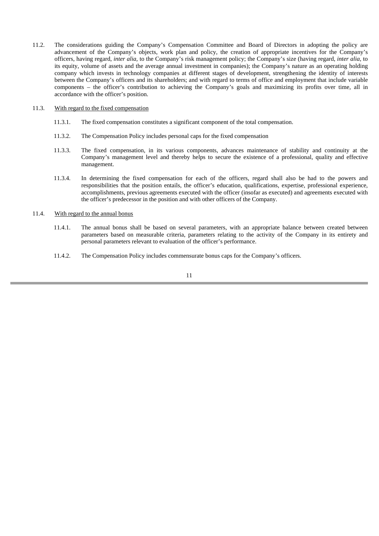11.2. The considerations guiding the Company's Compensation Committee and Board of Directors in adopting the policy are advancement of the Company's objects, work plan and policy, the creation of appropriate incentives for the Company's officers, having regard, *inter alia*, to the Company's risk management policy; the Company's size (having regard, *inter alia*, to its equity, volume of assets and the average annual investment in companies); the Company's nature as an operating holding company which invests in technology companies at different stages of development, strengthening the identity of interests between the Company's officers and its shareholders; and with regard to terms of office and employment that include variable components – the officer's contribution to achieving the Company's goals and maximizing its profits over time, all in accordance with the officer's position.

#### 11.3. With regard to the fixed compensation

- 11.3.1. The fixed compensation constitutes a significant component of the total compensation.
- 11.3.2. The Compensation Policy includes personal caps for the fixed compensation
- 11.3.3. The fixed compensation, in its various components, advances maintenance of stability and continuity at the Company's management level and thereby helps to secure the existence of a professional, quality and effective management.
- 11.3.4. In determining the fixed compensation for each of the officers, regard shall also be had to the powers and responsibilities that the position entails, the officer's education, qualifications, expertise, professional experience, accomplishments, previous agreements executed with the officer (insofar as executed) and agreements executed with the officer's predecessor in the position and with other officers of the Company.

#### 11.4. With regard to the annual bonus

- 11.4.1. The annual bonus shall be based on several parameters, with an appropriate balance between created between parameters based on measurable criteria, parameters relating to the activity of the Company in its entirety and personal parameters relevant to evaluation of the officer's performance.
- 11.4.2. The Compensation Policy includes commensurate bonus caps for the Company's officers.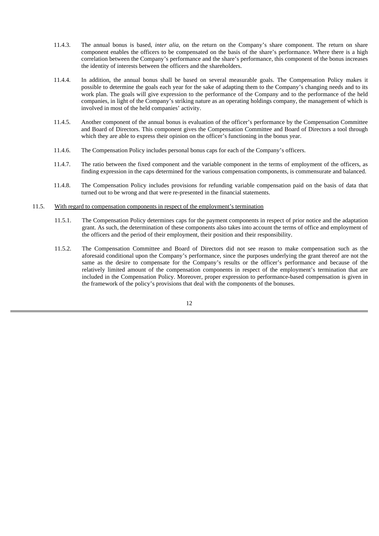- 11.4.3. The annual bonus is based, *inter alia*, on the return on the Company's share component. The return on share component enables the officers to be compensated on the basis of the share's performance. Where there is a high correlation between the Company's performance and the share's performance, this component of the bonus increases the identity of interests between the officers and the shareholders.
- 11.4.4. In addition, the annual bonus shall be based on several measurable goals. The Compensation Policy makes it possible to determine the goals each year for the sake of adapting them to the Company's changing needs and to its work plan. The goals will give expression to the performance of the Company and to the performance of the held companies, in light of the Company's striking nature as an operating holdings company, the management of which is involved in most of the held companies' activity.
- 11.4.5. Another component of the annual bonus is evaluation of the officer's performance by the Compensation Committee and Board of Directors. This component gives the Compensation Committee and Board of Directors a tool through which they are able to express their opinion on the officer's functioning in the bonus year.
- 11.4.6. The Compensation Policy includes personal bonus caps for each of the Company's officers.
- 11.4.7. The ratio between the fixed component and the variable component in the terms of employment of the officers, as finding expression in the caps determined for the various compensation components, is commensurate and balanced.
- 11.4.8. The Compensation Policy includes provisions for refunding variable compensation paid on the basis of data that turned out to be wrong and that were re-presented in the financial statements.
- 11.5. With regard to compensation components in respect of the employment's termination
	- 11.5.1. The Compensation Policy determines caps for the payment components in respect of prior notice and the adaptation grant. As such, the determination of these components also takes into account the terms of office and employment of the officers and the period of their employment, their position and their responsibility.
	- 11.5.2. The Compensation Committee and Board of Directors did not see reason to make compensation such as the aforesaid conditional upon the Company's performance, since the purposes underlying the grant thereof are not the same as the desire to compensate for the Company's results or the officer's performance and because of the relatively limited amount of the compensation components in respect of the employment's termination that are included in the Compensation Policy. Moreover, proper expression to performance-based compensation is given in the framework of the policy's provisions that deal with the components of the bonuses.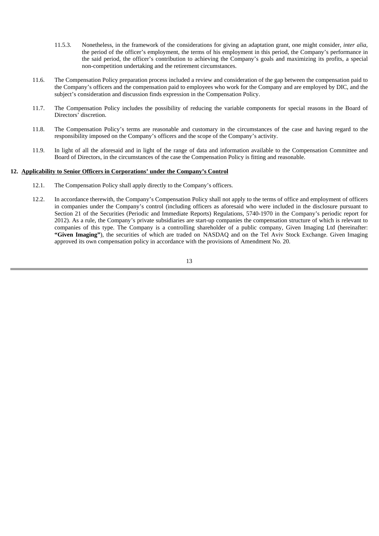- 11.5.3. Nonetheless, in the framework of the considerations for giving an adaptation grant, one might consider, *inter alia*, the period of the officer's employment, the terms of his employment in this period, the Company's performance in the said period, the officer's contribution to achieving the Company's goals and maximizing its profits, a special non-competition undertaking and the retirement circumstances.
- 11.6. The Compensation Policy preparation process included a review and consideration of the gap between the compensation paid to the Company's officers and the compensation paid to employees who work for the Company and are employed by DIC, and the subject's consideration and discussion finds expression in the Compensation Policy.
- 11.7. The Compensation Policy includes the possibility of reducing the variable components for special reasons in the Board of Directors' discretion.
- 11.8. The Compensation Policy's terms are reasonable and customary in the circumstances of the case and having regard to the responsibility imposed on the Company's officers and the scope of the Company's activity.
- 11.9. In light of all the aforesaid and in light of the range of data and information available to the Compensation Committee and Board of Directors, in the circumstances of the case the Compensation Policy is fitting and reasonable.

#### **12. Applicability to Senior Officers in Corporations' under the Company's Control**

- 12.1. The Compensation Policy shall apply directly to the Company's officers.
- 12.2. In accordance therewith, the Company's Compensation Policy shall not apply to the terms of office and employment of officers in companies under the Company's control (including officers as aforesaid who were included in the disclosure pursuant to Section 21 of the Securities (Periodic and Immediate Reports) Regulations, 5740-1970 in the Company's periodic report for 2012). As a rule, the Company's private subsidiaries are start-up companies the compensation structure of which is relevant to companies of this type. The Company is a controlling shareholder of a public company, Given Imaging Ltd (hereinafter: **"Given Imaging"**), the securities of which are traded on NASDAQ and on the Tel Aviv Stock Exchange. Given Imaging approved its own compensation policy in accordance with the provisions of Amendment No. 20.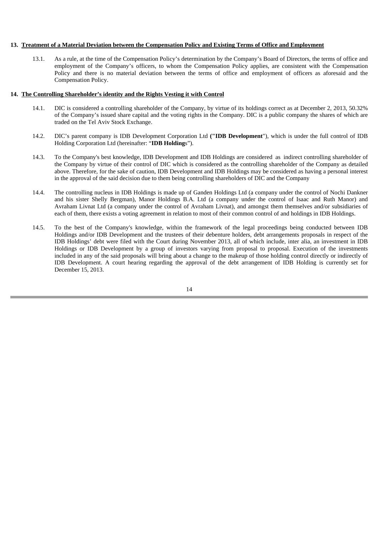#### **13. Treatment of a Material Deviation between the Compensation Policy and Existing Terms of Office and Employment**

13.1. As a rule, at the time of the Compensation Policy's determination by the Company's Board of Directors, the terms of office and employment of the Company's officers, to whom the Compensation Policy applies, are consistent with the Compensation Policy and there is no material deviation between the terms of office and employment of officers as aforesaid and the Compensation Policy.

#### **14. The Controlling Shareholder's identity and the Rights Vesting it with Control**

- 14.1. DIC is considered a controlling shareholder of the Company, by virtue of its holdings correct as at December 2, 2013, 50.32% of the Company's issued share capital and the voting rights in the Company. DIC is a public company the shares of which are traded on the Tel Aviv Stock Exchange.
- 14.2. DIC's parent company is IDB Development Corporation Ltd **("IDB Development**"), which is under the full control of IDB Holding Corporation Ltd (hereinafter: "**IDB Holding**s").
- 14.3. To the Company's best knowledge, IDB Development and IDB Holdings are considered as indirect controlling shareholder of the Company by virtue of their control of DIC which is considered as the controlling shareholder of the Company as detailed above. Therefore, for the sake of caution, IDB Development and IDB Holdings may be considered as having a personal interest in the approval of the said decision due to them being controlling shareholders of DIC and the Company
- 14.4. The controlling nucleus in IDB Holdings is made up of Ganden Holdings Ltd (a company under the control of Nochi Dankner and his sister Shelly Bergman), Manor Holdings B.A. Ltd (a company under the control of Isaac and Ruth Manor) and Avraham Livnat Ltd (a company under the control of Avraham Livnat), and amongst them themselves and/or subsidiaries of each of them, there exists a voting agreement in relation to most of their common control of and holdings in IDB Holdings.
- 14.5. To the best of the Company's knowledge, within the framework of the legal proceedings being conducted between IDB Holdings and/or IDB Development and the trustees of their debenture holders, debt arrangements proposals in respect of the IDB Holdings' debt were filed with the Court during November 2013, all of which include, inter alia, an investment in IDB Holdings or IDB Development by a group of investors varying from proposal to proposal. Execution of the investments included in any of the said proposals will bring about a change to the makeup of those holding control directly or indirectly of IDB Development. A court hearing regarding the approval of the debt arrangement of IDB Holding is currently set for December 15, 2013.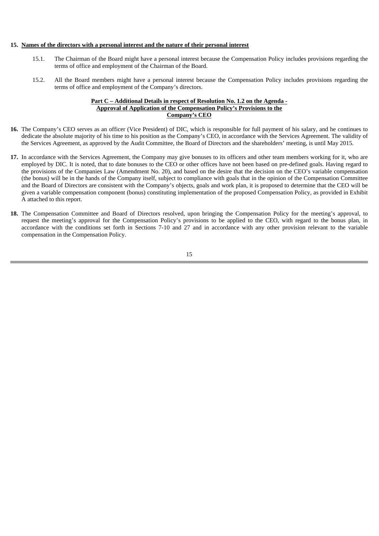#### **15. Names of the directors with a personal interest and the nature of their personal interest**

- 15.1. The Chairman of the Board might have a personal interest because the Compensation Policy includes provisions regarding the terms of office and employment of the Chairman of the Board.
- 15.2. All the Board members might have a personal interest because the Compensation Policy includes provisions regarding the terms of office and employment of the Company's directors.

#### **Part C – Additional Details in respect of Resolution No. 1.2 on the Agenda - Approval of Application of the Compensation Policy's Provisions to the Company's CEO**

- **16.** The Company's CEO serves as an officer (Vice President) of DIC, which is responsible for full payment of his salary, and he continues to dedicate the absolute majority of his time to his position as the Company's CEO, in accordance with the Services Agreement. The validity of the Services Agreement, as approved by the Audit Committee, the Board of Directors and the shareholders' meeting, is until May 2015.
- **17.** In accordance with the Services Agreement, the Company may give bonuses to its officers and other team members working for it, who are employed by DIC. It is noted, that to date bonuses to the CEO or other offices have not been based on pre-defined goals. Having regard to the provisions of the Companies Law (Amendment No. 20), and based on the desire that the decision on the CEO's variable compensation (the bonus) will be in the hands of the Company itself, subject to compliance with goals that in the opinion of the Compensation Committee and the Board of Directors are consistent with the Company's objects, goals and work plan, it is proposed to determine that the CEO will be given a variable compensation component (bonus) constituting implementation of the proposed Compensation Policy, as provided in Exhibit A attached to this report.
- **18.** The Compensation Committee and Board of Directors resolved, upon bringing the Compensation Policy for the meeting's approval, to request the meeting's approval for the Compensation Policy's provisions to be applied to the CEO, with regard to the bonus plan, in accordance with the conditions set forth in Sections 7-10 and 27 and in accordance with any other provision relevant to the variable compensation in the Compensation Policy.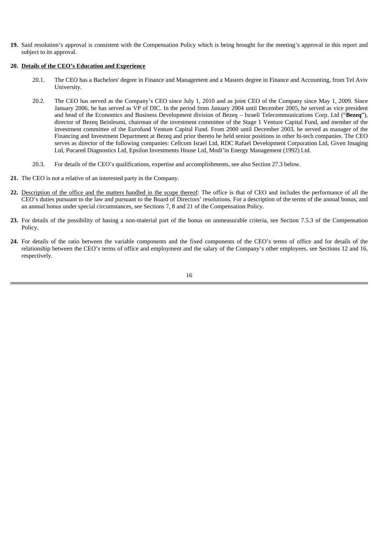**19.** Said resolution's approval is consistent with the Compensation Policy which is being brought for the meeting's approval in this report and subject to its approval.

#### **20. Details of the CEO's Education and Experience**

- 20.1. The CEO has a Bachelors' degree in Finance and Management and a Masters degree in Finance and Accounting, from Tel Aviv University.
- 20.2. The CEO has served as the Company's CEO since July 1, 2010 and as joint CEO of the Company since May 1, 2009. Since January 2006, he has served as VP of DIC. In the period from January 2004 until December 2005, he served as vice president and head of the Economics and Business Development division of Bezeq – Israeli Telecommunications Corp. Ltd ("**Bezeq**"), director of Bezeq Beinleumi, chairman of the investment committee of the Stage 1 Venture Capital Fund, and member of the investment committee of the Eurofund Venture Capital Fund. From 2000 until December 2003, he served as manager of the Financing and Investment Department at Bezeq and prior thereto he held senior positions in other hi-tech companies. The CEO serves as director of the following companies: Cellcom Israel Ltd, RDC Rafael Development Corporation Ltd, Given Imaging Ltd, Pocared Diagnostics Ltd, Epsilon Investments House Ltd, Modi'in Energy Management (1992) Ltd.
- 20.3. For details of the CEO's qualifications, expertise and accomplishments, see also Section 27.3 below.
- **21.** The CEO is not a relative of an interested party in the Company.
- **22.** Description of the office and the matters handled in the scope thereof: The office is that of CEO and includes the performance of all the CEO's duties pursuant to the law and pursuant to the Board of Directors' resolutions. For a description of the terms of the annual bonus, and an annual bonus under special circumstances, see Sections 7, 8 and 21 of the Compensation Policy.
- **23.** For details of the possibility of basing a non-material part of the bonus on unmeasurable criteria, see Section 7.5.3 of the Compensation Policy.
- **24.** For details of the ratio between the variable components and the fixed components of the CEO's terms of office and for details of the relationship between the CEO's terms of office and employment and the salary of the Company's other employees, see Sections 12 and 16, respectively.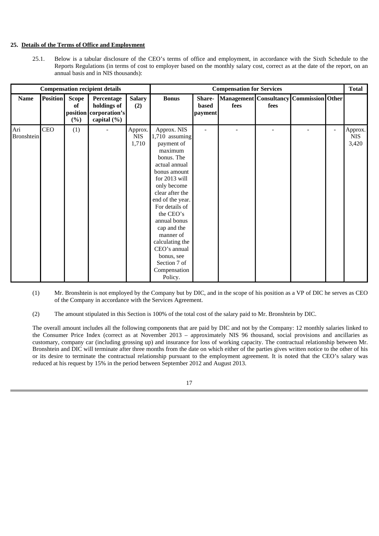#### **25. Details of the Terms of Office and Employment**

25.1. Below is a tabular disclosure of the CEO's terms of office and employment, in accordance with the Sixth Schedule to the Reports Regulations (in terms of cost to employer based on the monthly salary cost, correct as at the date of the report, on an annual basis and in NIS thousands):

| <b>Compensation recipient details</b> |                 |                                |                                                               | <b>Compensation for Services</b> |                                                                                                                                                                                                                                                                                                                                                     |                            |                                       |      |                  | <b>Total</b>             |                                |
|---------------------------------------|-----------------|--------------------------------|---------------------------------------------------------------|----------------------------------|-----------------------------------------------------------------------------------------------------------------------------------------------------------------------------------------------------------------------------------------------------------------------------------------------------------------------------------------------------|----------------------------|---------------------------------------|------|------------------|--------------------------|--------------------------------|
| <b>Name</b>                           | <b>Position</b> | Scope<br>of<br>position<br>(%) | Percentage<br>holdings of<br>corporation's<br>capital $(\% )$ | <b>Salary</b><br>(2)             | <b>Bonus</b>                                                                                                                                                                                                                                                                                                                                        | Share-<br>based<br>payment | <b>Management</b> Consultancy<br>fees | fees | Commission Other |                          |                                |
| Ari<br><b>Bronshtein</b>              | <b>CEO</b>      | (1)                            |                                                               | Approx.<br><b>NIS</b><br>1,710   | Approx. NIS<br>1,710 assuming<br>payment of<br>maximum<br>bonus. The<br>actual annual<br>bonus amount<br>for 2013 will<br>only become<br>clear after the<br>end of the year.<br>For details of<br>the CEO's<br>annual bonus<br>cap and the<br>manner of<br>calculating the<br>CEO's annual<br>bonus, see<br>Section 7 of<br>Compensation<br>Policy. |                            |                                       |      |                  | $\overline{\phantom{0}}$ | Approx.<br><b>NIS</b><br>3,420 |

(1) Mr. Bronshtein is not employed by the Company but by DIC, and in the scope of his position as a VP of DIC he serves as CEO of the Company in accordance with the Services Agreement.

(2) The amount stipulated in this Section is 100% of the total cost of the salary paid to Mr. Bronshtein by DIC.

The overall amount includes all the following components that are paid by DIC and not by the Company: 12 monthly salaries linked to the Consumer Price Index (correct as at November 2013 – approximately NIS 96 thousand, social provisions and ancillaries as customary, company car (including grossing up) and insurance for loss of working capacity. The contractual relationship between Mr. Bronshtein and DIC will terminate after three months from the date on which either of the parties gives written notice to the other of his or its desire to terminate the contractual relationship pursuant to the employment agreement. It is noted that the CEO's salary was reduced at his request by 15% in the period between September 2012 and August 2013.

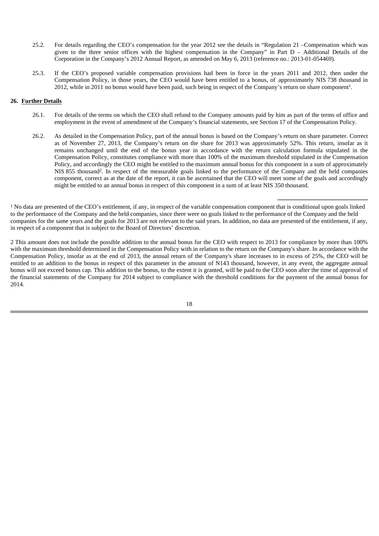- 25.2. For details regarding the CEO's compensation for the year 2012 see the details in "Regulation 21 –Compensation which was given to the three senior offices with the highest compensation in the Company" in Part D – Additional Details of the Corporation in the Company's 2012 Annual Report, as amended on May 6, 2013 (reference no.: 2013-01-054469).
- 25.3. If the CEO's proposed variable compensation provisions had been in force in the years 2011 and 2012, then under the Compensation Policy, in those years, the CEO would have been entitled to a bonus, of approximately NIS 738 thousand in 2012, while in 2011 no bonus would have been paid, such being in respect of the Company's return on share component<sup>1</sup>.

#### **26. Further Details**

- 26.1. For details of the terms on which the CEO shall refund to the Company amounts paid by him as part of the terms of office and employment in the event of amendment of the Company's financial statements, see Section 17 of the Compensation Policy.
- 26.2. As detailed in the Compensation Policy, part of the annual bonus is based on the Company's return on share parameter. Correct as of November 27, 2013, the Company's return on the share for 2013 was approximately 52%. This return, insofar as it remains unchanged until the end of the bonus year in accordance with the return calculation formula stipulated in the Compensation Policy, constitutes compliance with more than 100% of the maximum threshold stipulated in the Compensation Policy, and accordingly the CEO might be entitled to the maximum annual bonus for this component in a sum of approximately NIS 855 thousand2. In respect of the measurable goals linked to the performance of the Company and the held companies component, correct as at the date of the report, it can be ascertained that the CEO will meet some of the goals and accordingly might be entitled to an annual bonus in respect of this component in a sum of at least NIS 350 thousand.

 $1$  No data are presented of the CEO's entitlement, if any, in respect of the variable compensation component that is conditional upon goals linked to the performance of the Company and the held companies, since there were no goals linked to the performance of the Company and the held companies for the same years and the goals for 2013 are not relevant to the said years. In addition, no data are presented of the entitlement, if any, in respect of a component that is subject to the Board of Directors' discretion.

2 This amount does not include the possible addition to the annual bonus for the CEO with respect to 2013 for compliance by more than 100% with the maximum threshold determined in the Compensation Policy with in relation to the return on the Company's share. In accordance with the Compensation Policy, insofar as at the end of 2013, the annual return of the Company's share increases to in excess of 25%, the CEO will be entitled to an addition to the bonus in respect of this parameter in the amount of N143 thousand, however, in any event, the aggregate annual bonus will not exceed bonus cap. This addition to the bonus, to the extent it is granted, will be paid to the CEO soon after the time of approval of the financial statements of the Company for 2014 subject to compliance with the threshold conditions for the payment of the annual bonus for 2014.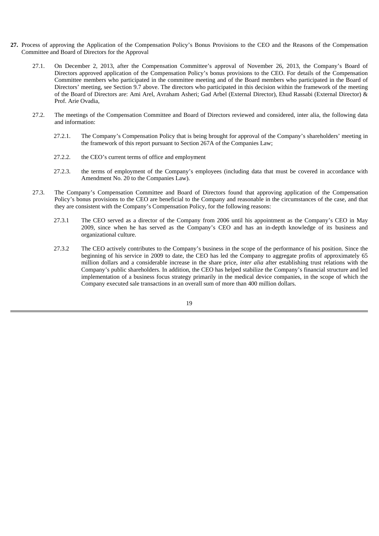- **27.** Process of approving the Application of the Compensation Policy's Bonus Provisions to the CEO and the Reasons of the Compensation Committee and Board of Directors for the Approval
	- 27.1. On December 2, 2013, after the Compensation Committee's approval of November 26, 2013, the Company's Board of Directors approved application of the Compensation Policy's bonus provisions to the CEO. For details of the Compensation Committee members who participated in the committee meeting and of the Board members who participated in the Board of Directors' meeting, see Section 9.7 above. The directors who participated in this decision within the framework of the meeting of the Board of Directors are: Ami Arel, Avraham Asheri; Gad Arbel (External Director), Ehud Rassabi (External Director) & Prof. Arie Ovadia,
	- 27.2. The meetings of the Compensation Committee and Board of Directors reviewed and considered, inter alia, the following data and information:
		- 27.2.1. The Company's Compensation Policy that is being brought for approval of the Company's shareholders' meeting in the framework of this report pursuant to Section 267A of the Companies Law;
		- 27.2.2. the CEO's current terms of office and employment
		- 27.2.3. the terms of employment of the Company's employees (including data that must be covered in accordance with Amendment No. 20 to the Companies Law).
	- 27.3. The Company's Compensation Committee and Board of Directors found that approving application of the Compensation Policy's bonus provisions to the CEO are beneficial to the Company and reasonable in the circumstances of the case, and that they are consistent with the Company's Compensation Policy, for the following reasons:
		- 27.3.1 The CEO served as a director of the Company from 2006 until his appointment as the Company's CEO in May 2009, since when he has served as the Company's CEO and has an in-depth knowledge of its business and organizational culture.
		- 27.3.2 The CEO actively contributes to the Company's business in the scope of the performance of his position. Since the beginning of his service in 2009 to date, the CEO has led the Company to aggregate profits of approximately 65 million dollars and a considerable increase in the share price, *inter alia* after establishing trust relations with the Company's public shareholders. In addition, the CEO has helped stabilize the Company's financial structure and led implementation of a business focus strategy primarily in the medical device companies, in the scope of which the Company executed sale transactions in an overall sum of more than 400 million dollars.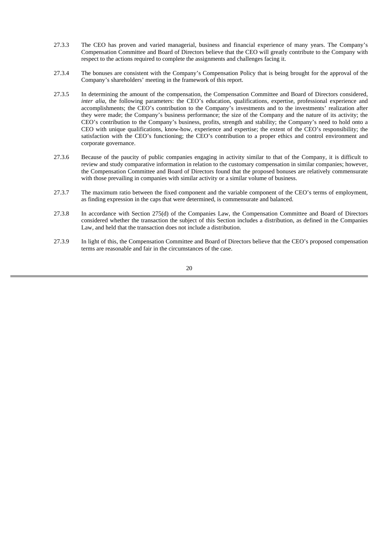- 27.3.3 The CEO has proven and varied managerial, business and financial experience of many years. The Company's Compensation Committee and Board of Directors believe that the CEO will greatly contribute to the Company with respect to the actions required to complete the assignments and challenges facing it.
- 27.3.4 The bonuses are consistent with the Company's Compensation Policy that is being brought for the approval of the Company's shareholders' meeting in the framework of this report.
- 27.3.5 In determining the amount of the compensation, the Compensation Committee and Board of Directors considered, *inter alia*, the following parameters: the CEO's education, qualifications, expertise, professional experience and accomplishments; the CEO's contribution to the Company's investments and to the investments' realization after they were made; the Company's business performance; the size of the Company and the nature of its activity; the CEO's contribution to the Company's business, profits, strength and stability; the Company's need to hold onto a CEO with unique qualifications, know-how, experience and expertise; the extent of the CEO's responsibility; the satisfaction with the CEO's functioning; the CEO's contribution to a proper ethics and control environment and corporate governance.
- 27.3.6 Because of the paucity of public companies engaging in activity similar to that of the Company, it is difficult to review and study comparative information in relation to the customary compensation in similar companies; however, the Compensation Committee and Board of Directors found that the proposed bonuses are relatively commensurate with those prevailing in companies with similar activity or a similar volume of business.
- 27.3.7 The maximum ratio between the fixed component and the variable component of the CEO's terms of employment, as finding expression in the caps that were determined, is commensurate and balanced.
- 27.3.8 In accordance with Section 275(d) of the Companies Law, the Compensation Committee and Board of Directors considered whether the transaction the subject of this Section includes a distribution, as defined in the Companies Law, and held that the transaction does not include a distribution.
- 27.3.9 In light of this, the Compensation Committee and Board of Directors believe that the CEO's proposed compensation terms are reasonable and fair in the circumstances of the case.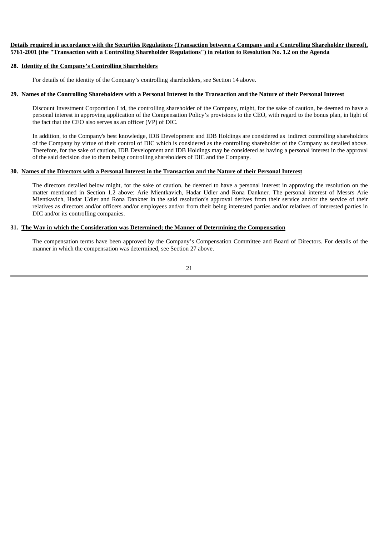#### **Details required in accordance with the Securities Regulations (Transaction between a Company and a Controlling Shareholder thereof), 5761-2001 (the "Transaction with a Controlling Shareholder Regulations") in relation to Resolution No. 1.2 on the Agenda**

#### **28. Identity of the Company's Controlling Shareholders**

For details of the identity of the Company's controlling shareholders, see Section 14 above.

#### **29. Names of the Controlling Shareholders with a Personal Interest in the Transaction and the Nature of their Personal Interest**

Discount Investment Corporation Ltd, the controlling shareholder of the Company, might, for the sake of caution, be deemed to have a personal interest in approving application of the Compensation Policy's provisions to the CEO, with regard to the bonus plan, in light of the fact that the CEO also serves as an officer (VP) of DIC.

In addition, to the Company's best knowledge, IDB Development and IDB Holdings are considered as indirect controlling shareholders of the Company by virtue of their control of DIC which is considered as the controlling shareholder of the Company as detailed above. Therefore, for the sake of caution, IDB Development and IDB Holdings may be considered as having a personal interest in the approval of the said decision due to them being controlling shareholders of DIC and the Company.

#### **30. Names of the Directors with a Personal Interest in the Transaction and the Nature of their Personal Interest**

The directors detailed below might, for the sake of caution, be deemed to have a personal interest in approving the resolution on the matter mentioned in Section 1.2 above: Arie Mientkavich, Hadar Udler and Rona Dankner. The personal interest of Messrs Arie Mientkavich, Hadar Udler and Rona Dankner in the said resolution's approval derives from their service and/or the service of their relatives as directors and/or officers and/or employees and/or from their being interested parties and/or relatives of interested parties in DIC and/or its controlling companies.

#### **31. The Way in which the Consideration was Determined; the Manner of Determining the Compensation**

The compensation terms have been approved by the Company's Compensation Committee and Board of Directors. For details of the manner in which the compensation was determined, see Section 27 above.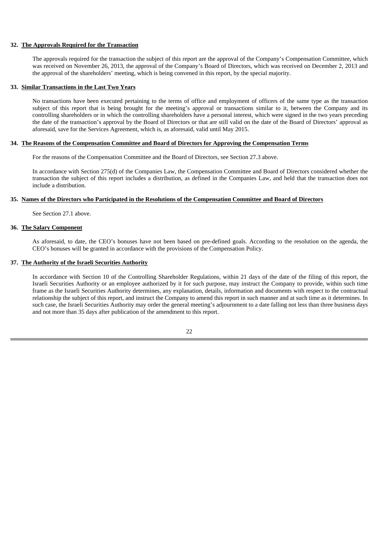#### **32. The Approvals Required for the Transaction**

The approvals required for the transaction the subject of this report are the approval of the Company's Compensation Committee, which was received on November 26, 2013, the approval of the Company's Board of Directors, which was received on December 2, 2013 and the approval of the shareholders' meeting, which is being convened in this report, by the special majority.

#### **33. Similar Transactions in the Last Two Years**

No transactions have been executed pertaining to the terms of office and employment of officers of the same type as the transaction subject of this report that is being brought for the meeting's approval or transactions similar to it, between the Company and its controlling shareholders or in which the controlling shareholders have a personal interest, which were signed in the two years preceding the date of the transaction's approval by the Board of Directors or that are still valid on the date of the Board of Directors' approval as aforesaid, save for the Services Agreement, which is, as aforesaid, valid until May 2015.

#### **34. The Reasons of the Compensation Committee and Board of Directors for Approving the Compensation Terms**

For the reasons of the Compensation Committee and the Board of Directors, see Section 27.3 above.

In accordance with Section 275(d) of the Companies Law, the Compensation Committee and Board of Directors considered whether the transaction the subject of this report includes a distribution, as defined in the Companies Law, and held that the transaction does not include a distribution.

#### **35. Names of the Directors who Participated in the Resolutions of the Compensation Committee and Board of Directors**

See Section 27.1 above.

#### **36. The Salary Component**

As aforesaid, to date, the CEO's bonuses have not been based on pre-defined goals. According to the resolution on the agenda, the CEO's bonuses will be granted in accordance with the provisions of the Compensation Policy.

#### **37. The Authority of the Israeli Securities Authority**

In accordance with Section 10 of the Controlling Shareholder Regulations, within 21 days of the date of the filing of this report, the Israeli Securities Authority or an employee authorized by it for such purpose, may instruct the Company to provide, within such time frame as the Israeli Securities Authority determines, any explanation, details, information and documents with respect to the contractual relationship the subject of this report, and instruct the Company to amend this report in such manner and at such time as it determines. In such case, the Israeli Securities Authority may order the general meeting's adjournment to a date falling not less than three business days and not more than 35 days after publication of the amendment to this report.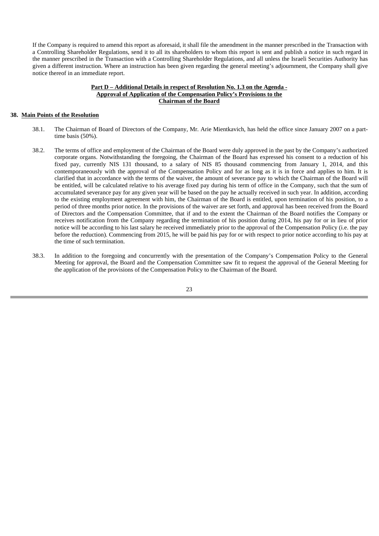If the Company is required to amend this report as aforesaid, it shall file the amendment in the manner prescribed in the Transaction with a Controlling Shareholder Regulations, send it to all its shareholders to whom this report is sent and publish a notice in such regard in the manner prescribed in the Transaction with a Controlling Shareholder Regulations, and all unless the Israeli Securities Authority has given a different instruction. Where an instruction has been given regarding the general meeting's adjournment, the Company shall give notice thereof in an immediate report.

#### **Part D – Additional Details in respect of Resolution No. 1.3 on the Agenda - Approval of Application of the Compensation Policy's Provisions to the Chairman of the Board**

#### **38. Main Points of the Resolution**

- 38.1. The Chairman of Board of Directors of the Company, Mr. Arie Mientkavich, has held the office since January 2007 on a parttime basis (50%).
- 38.2. The terms of office and employment of the Chairman of the Board were duly approved in the past by the Company's authorized corporate organs. Notwithstanding the foregoing, the Chairman of the Board has expressed his consent to a reduction of his fixed pay, currently NIS 131 thousand, to a salary of NIS 85 thousand commencing from January 1, 2014, and this contemporaneously with the approval of the Compensation Policy and for as long as it is in force and applies to him. It is clarified that in accordance with the terms of the waiver, the amount of severance pay to which the Chairman of the Board will be entitled, will be calculated relative to his average fixed pay during his term of office in the Company, such that the sum of accumulated severance pay for any given year will be based on the pay he actually received in such year. In addition, according to the existing employment agreement with him, the Chairman of the Board is entitled, upon termination of his position, to a period of three months prior notice. In the provisions of the waiver are set forth, and approval has been received from the Board of Directors and the Compensation Committee, that if and to the extent the Chairman of the Board notifies the Company or receives notification from the Company regarding the termination of his position during 2014, his pay for or in lieu of prior notice will be according to his last salary he received immediately prior to the approval of the Compensation Policy (i.e. the pay before the reduction). Commencing from 2015, he will be paid his pay for or with respect to prior notice according to his pay at the time of such termination.
- 38.3. In addition to the foregoing and concurrently with the presentation of the Company's Compensation Policy to the General Meeting for approval, the Board and the Compensation Committee saw fit to request the approval of the General Meeting for the application of the provisions of the Compensation Policy to the Chairman of the Board.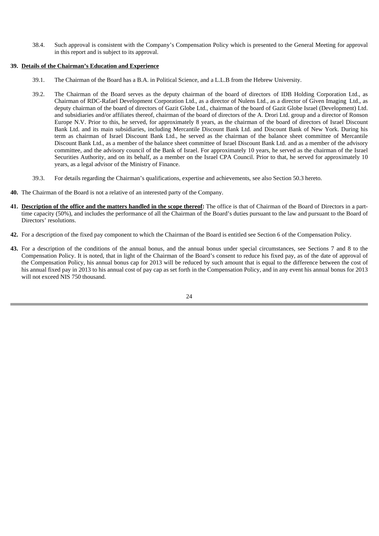38.4. Such approval is consistent with the Company's Compensation Policy which is presented to the General Meeting for approval in this report and is subject to its approval.

#### **39. Details of the Chairman's Education and Experience**

- 39.1. The Chairman of the Board has a B.A. in Political Science, and a L.L.B from the Hebrew University.
- 39.2. The Chairman of the Board serves as the deputy chairman of the board of directors of IDB Holding Corporation Ltd., as Chairman of RDC-Rafael Development Corporation Ltd., as a director of Nulens Ltd., as a director of Given Imaging Ltd., as deputy chairman of the board of directors of Gazit Globe Ltd., chairman of the board of Gazit Globe Israel (Development) Ltd. and subsidiaries and/or affiliates thereof, chairman of the board of directors of the A. Drori Ltd. group and a director of Ronson Europe N.V. Prior to this, he served, for approximately 8 years, as the chairman of the board of directors of Israel Discount Bank Ltd. and its main subsidiaries, including Mercantile Discount Bank Ltd. and Discount Bank of New York. During his term as chairman of Israel Discount Bank Ltd., he served as the chairman of the balance sheet committee of Mercantile Discount Bank Ltd., as a member of the balance sheet committee of Israel Discount Bank Ltd. and as a member of the advisory committee, and the advisory council of the Bank of Israel. For approximately 10 years, he served as the chairman of the Israel Securities Authority, and on its behalf, as a member on the Israel CPA Council. Prior to that, he served for approximately 10 years, as a legal advisor of the Ministry of Finance.
- 39.3. For details regarding the Chairman's qualifications, expertise and achievements, see also Section 50.3 hereto.
- **40.** The Chairman of the Board is not a relative of an interested party of the Company.
- **41. Description of the office and the matters handled in the scope thereof:** The office is that of Chairman of the Board of Directors in a parttime capacity (50%), and includes the performance of all the Chairman of the Board's duties pursuant to the law and pursuant to the Board of Directors' resolutions.
- **42.** For a description of the fixed pay component to which the Chairman of the Board is entitled see Section 6 of the Compensation Policy.
- **43.** For a description of the conditions of the annual bonus, and the annual bonus under special circumstances, see Sections 7 and 8 to the Compensation Policy. It is noted, that in light of the Chairman of the Board's consent to reduce his fixed pay, as of the date of approval of the Compensation Policy, his annual bonus cap for 2013 will be reduced by such amount that is equal to the difference between the cost of his annual fixed pay in 2013 to his annual cost of pay cap as set forth in the Compensation Policy, and in any event his annual bonus for 2013 will not exceed NIS 750 thousand.

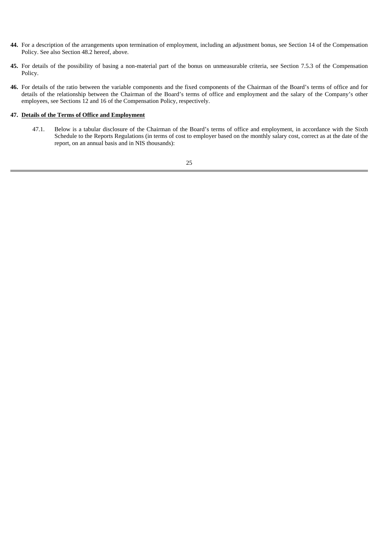- **44.** For a description of the arrangements upon termination of employment, including an adjustment bonus, see Section 14 of the Compensation Policy. See also Section 48.2 hereof, above.
- **45.** For details of the possibility of basing a non-material part of the bonus on unmeasurable criteria, see Section 7.5.3 of the Compensation Policy.
- **46.** For details of the ratio between the variable components and the fixed components of the Chairman of the Board's terms of office and for details of the relationship between the Chairman of the Board's terms of office and employment and the salary of the Company's other employees, see Sections 12 and 16 of the Compensation Policy, respectively.

#### **47. Details of the Terms of Office and Employment**

47.1. Below is a tabular disclosure of the Chairman of the Board's terms of office and employment, in accordance with the Sixth Schedule to the Reports Regulations (in terms of cost to employer based on the monthly salary cost, correct as at the date of the report, on an annual basis and in NIS thousands):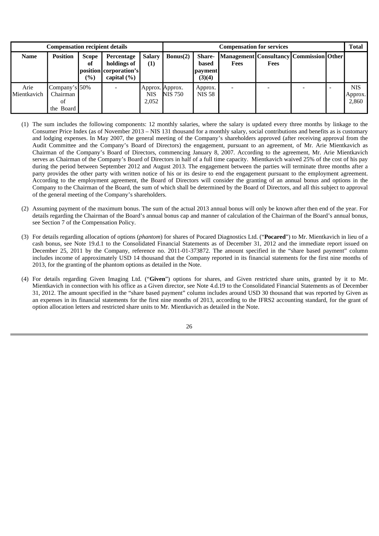|                     | <b>Compensation recipient details</b>        |                                                    | <b>Compensation for services</b>                                       |                                        |                |                                                    |                                                  |             | <b>Total</b> |  |                                |
|---------------------|----------------------------------------------|----------------------------------------------------|------------------------------------------------------------------------|----------------------------------------|----------------|----------------------------------------------------|--------------------------------------------------|-------------|--------------|--|--------------------------------|
| <b>Name</b>         | <b>Position</b>                              | <b>Scope</b><br>of<br>$\left( \frac{0}{0} \right)$ | Percentage<br>holdings of<br>position corporation's<br>capital $(\% )$ | Salarv<br>$\bf(1)$                     | Bonus(2)       | <b>Share-</b><br>based<br><i>payment</i><br>(3)(4) | Management Consultancy Commission Other <br>Fees | <b>Fees</b> |              |  |                                |
| Arie<br>Mientkavich | Company's 50%<br>Chairman<br>ΟÌ<br>the Board |                                                    |                                                                        | Approx. Approx.<br><b>NIS</b><br>2,052 | <b>NIS 750</b> | Approx.<br><b>NIS 58</b>                           |                                                  |             |              |  | <b>NIS</b><br>Approx.<br>2,860 |

- (1) The sum includes the following components: 12 monthly salaries, where the salary is updated every three months by linkage to the Consumer Price Index (as of November 2013 – NIS 131 thousand for a monthly salary, social contributions and benefits as is customary and lodging expenses. In May 2007, the general meeting of the Company's shareholders approved (after receiving approval from the Audit Committee and the Company's Board of Directors) the engagement, pursuant to an agreement, of Mr. Arie Mientkavich as Chairman of the Company's Board of Directors, commencing January 8, 2007. According to the agreement, Mr. Arie Mientkavich serves as Chairman of the Company's Board of Directors in half of a full time capacity. Mientkavich waived 25% of the cost of his pay during the period between September 2012 and August 2013. The engagement between the parties will terminate three months after a party provides the other party with written notice of his or its desire to end the engagement pursuant to the employment agreement. According to the employment agreement, the Board of Directors will consider the granting of an annual bonus and options in the Company to the Chairman of the Board, the sum of which shall be determined by the Board of Directors, and all this subject to approval of the general meeting of the Company's shareholders.
- (2) Assuming payment of the maximum bonus. The sum of the actual 2013 annual bonus will only be known after then end of the year. For details regarding the Chairman of the Board's annual bonus cap and manner of calculation of the Chairman of the Board's annual bonus, see Section 7 of the Compensation Policy.
- (3) For details regarding allocation of options (*phantom*) for shares of Pocared Diagnostics Ltd. ("**Pocared**") to Mr. Mientkavich in lieu of a cash bonus, see Note 19.d.1 to the Consolidated Financial Statements as of December 31, 2012 and the immediate report issued on December 25, 2011 by the Company, reference no. 2011-01-373872. The amount specified in the "share based payment" column includes income of approximately USD 14 thousand that the Company reported in its financial statements for the first nine months of 2013, for the granting of the phantom options as detailed in the Note.
- (4) For details regarding Given Imaging Ltd. ("**Given**") options for shares, and Given restricted share units, granted by it to Mr. Mientkavich in connection with his office as a Given director, see Note 4.d.19 to the Consolidated Financial Statements as of December 31, 2012. The amount specified in the "share based payment" column includes around USD 30 thousand that was reported by Given as an expenses in its financial statements for the first nine months of 2013, according to the IFRS2 accounting standard, for the grant of option allocation letters and restricted share units to Mr. Mientkavich as detailed in the Note.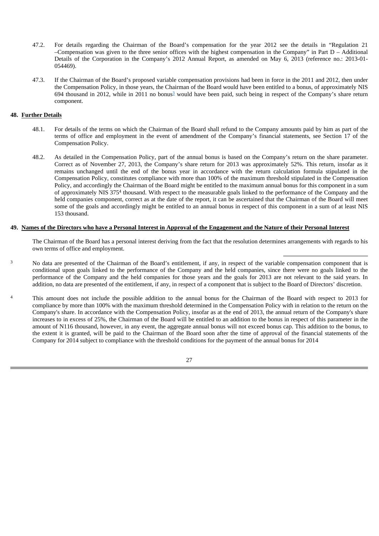- 47.2. For details regarding the Chairman of the Board's compensation for the year 2012 see the details in "Regulation 21 –Compensation was given to the three senior offices with the highest compensation in the Company" in Part D – Additional Details of the Corporation in the Company's 2012 Annual Report, as amended on May 6, 2013 (reference no.: 2013-01- 054469).
- 47.3. If the Chairman of the Board's proposed variable compensation provisions had been in force in the 2011 and 2012, then under the Compensation Policy, in those years, the Chairman of the Board would have been entitled to a bonus, of approximately NIS 694 thousand in 2012, while in 2011 no bonus<sup>3</sup> would have been paid, such being in respect of the Company's share return component.

#### **48. Further Details**

- 48.1. For details of the terms on which the Chairman of the Board shall refund to the Company amounts paid by him as part of the terms of office and employment in the event of amendment of the Company's financial statements, see Section 17 of the Compensation Policy.
- 48.2. As detailed in the Compensation Policy, part of the annual bonus is based on the Company's return on the share parameter. Correct as of November 27, 2013, the Company's share return for 2013 was approximately 52%. This return, insofar as it remains unchanged until the end of the bonus year in accordance with the return calculation formula stipulated in the Compensation Policy, constitutes compliance with more than 100% of the maximum threshold stipulated in the Compensation Policy, and accordingly the Chairman of the Board might be entitled to the maximum annual bonus for this component in a sum of approximately NIS 3754 thousand. With respect to the measurable goals linked to the performance of the Company and the held companies component, correct as at the date of the report, it can be ascertained that the Chairman of the Board will meet some of the goals and accordingly might be entitled to an annual bonus in respect of this component in a sum of at least NIS 153 thousand.

#### **49. Names of the Directors who have a Personal Interest in Approval of the Engagement and the Nature of their Personal Interest**

The Chairman of the Board has a personal interest deriving from the fact that the resolution determines arrangements with regards to his own terms of office and employment.

- <sup>3</sup> No data are presented of the Chairman of the Board's entitlement, if any, in respect of the variable compensation component that is conditional upon goals linked to the performance of the Company and the held companies, since there were no goals linked to the performance of the Company and the held companies for those years and the goals for 2013 are not relevant to the said years. In addition, no data are presented of the entitlement, if any, in respect of a component that is subject to the Board of Directors' discretion.
- This amount does not include the possible addition to the annual bonus for the Chairman of the Board with respect to 2013 for compliance by more than 100% with the maximum threshold determined in the Compensation Policy with in relation to the return on the Company's share. In accordance with the Compensation Policy, insofar as at the end of 2013, the annual return of the Company's share increases to in excess of 25%, the Chairman of the Board will be entitled to an addition to the bonus in respect of this parameter in the amount of N116 thousand, however, in any event, the aggregate annual bonus will not exceed bonus cap. This addition to the bonus, to the extent it is granted, will be paid to the Chairman of the Board soon after the time of approval of the financial statements of the Company for 2014 subject to compliance with the threshold conditions for the payment of the annual bonus for 2014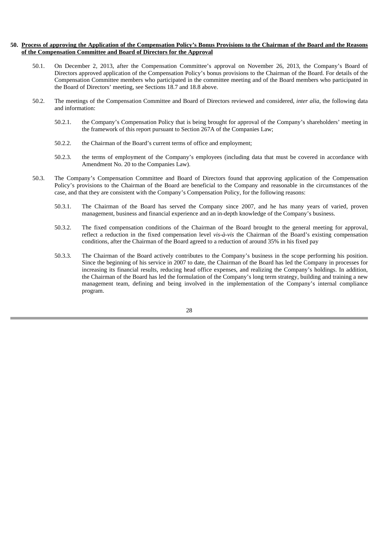#### **50. Process of approving the Application of the Compensation Policy's Bonus Provisions to the Chairman of the Board and the Reasons of the Compensation Committee and Board of Directors for the Approval**

- 50.1. On December 2, 2013, after the Compensation Committee's approval on November 26, 2013, the Company's Board of Directors approved application of the Compensation Policy's bonus provisions to the Chairman of the Board. For details of the Compensation Committee members who participated in the committee meeting and of the Board members who participated in the Board of Directors' meeting, see Sections 18.7 and 18.8 above.
- 50.2. The meetings of the Compensation Committee and Board of Directors reviewed and considered, *inter alia*, the following data and information:
	- 50.2.1. the Company's Compensation Policy that is being brought for approval of the Company's shareholders' meeting in the framework of this report pursuant to Section 267A of the Companies Law;
	- 50.2.2. the Chairman of the Board's current terms of office and employment;
	- 50.2.3. the terms of employment of the Company's employees (including data that must be covered in accordance with Amendment No. 20 to the Companies Law).
- 50.3. The Company's Compensation Committee and Board of Directors found that approving application of the Compensation Policy's provisions to the Chairman of the Board are beneficial to the Company and reasonable in the circumstances of the case, and that they are consistent with the Company's Compensation Policy, for the following reasons:
	- 50.3.1. The Chairman of the Board has served the Company since 2007, and he has many years of varied, proven management, business and financial experience and an in-depth knowledge of the Company's business.
	- 50.3.2. The fixed compensation conditions of the Chairman of the Board brought to the general meeting for approval, reflect a reduction in the fixed compensation level *vis-à-vis* the Chairman of the Board's existing compensation conditions, after the Chairman of the Board agreed to a reduction of around 35% in his fixed pay
	- 50.3.3. The Chairman of the Board actively contributes to the Company's business in the scope performing his position. Since the beginning of his service in 2007 to date, the Chairman of the Board has led the Company in processes for increasing its financial results, reducing head office expenses, and realizing the Company's holdings. In addition, the Chairman of the Board has led the formulation of the Company's long term strategy, building and training a new management team, defining and being involved in the implementation of the Company's internal compliance program.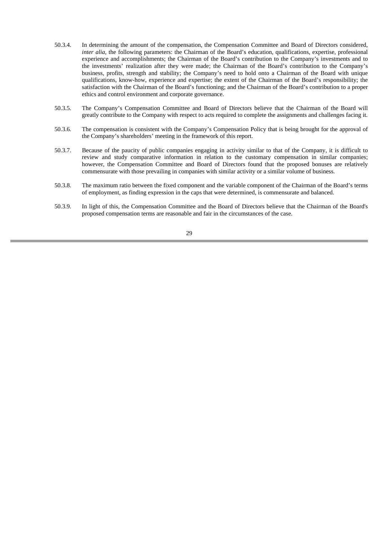- 50.3.4. In determining the amount of the compensation, the Compensation Committee and Board of Directors considered, *inter alia*, the following parameters: the Chairman of the Board's education, qualifications, expertise, professional experience and accomplishments; the Chairman of the Board's contribution to the Company's investments and to the investments' realization after they were made; the Chairman of the Board's contribution to the Company's business, profits, strength and stability; the Company's need to hold onto a Chairman of the Board with unique qualifications, know-how, experience and expertise; the extent of the Chairman of the Board's responsibility; the satisfaction with the Chairman of the Board's functioning; and the Chairman of the Board's contribution to a proper ethics and control environment and corporate governance.
- 50.3.5. The Company's Compensation Committee and Board of Directors believe that the Chairman of the Board will greatly contribute to the Company with respect to acts required to complete the assignments and challenges facing it.
- 50.3.6. The compensation is consistent with the Company's Compensation Policy that is being brought for the approval of the Company's shareholders' meeting in the framework of this report.
- 50.3.7. Because of the paucity of public companies engaging in activity similar to that of the Company, it is difficult to review and study comparative information in relation to the customary compensation in similar companies; however, the Compensation Committee and Board of Directors found that the proposed bonuses are relatively commensurate with those prevailing in companies with similar activity or a similar volume of business.
- 50.3.8. The maximum ratio between the fixed component and the variable component of the Chairman of the Board's terms of employment, as finding expression in the caps that were determined, is commensurate and balanced.
- 50.3.9. In light of this, the Compensation Committee and the Board of Directors believe that the Chairman of the Board's proposed compensation terms are reasonable and fair in the circumstances of the case.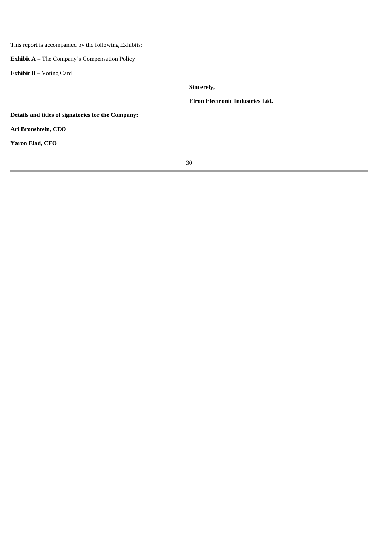This report is accompanied by the following Exhibits:

**Exhibit A** – The Company's Compensation Policy

**Exhibit B** – Voting Card

**Sincerely,**

**Elron Electronic Industries Ltd.**

**Details and titles of signatories for the Company:**

**Ari Bronshtein, CEO**

**Yaron Elad, CFO**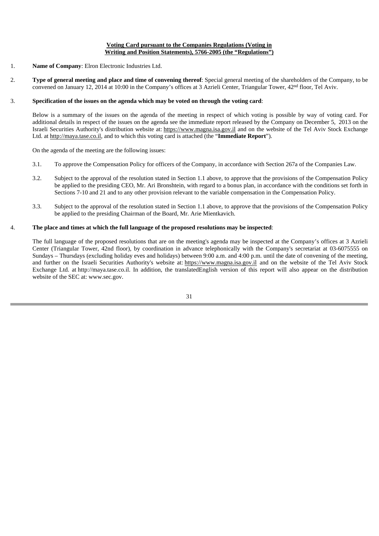#### **Voting Card pursuant to the Companies Regulations (Voting in Writing and Position Statements), 5766-2005 (the "Regulations")**

- 1. **Name of Company**: Elron Electronic Industries Ltd.
- 2. **Type of general meeting and place and time of convening thereof**: Special general meeting of the shareholders of the Company, to be convened on January 12, 2014 at 10:00 in the Company's offices at 3 Azrieli Center, Triangular Tower, 42nd floor, Tel Aviv.

#### 3. **Specification of the issues on the agenda which may be voted on through the voting card**:

Below is a summary of the issues on the agenda of the meeting in respect of which voting is possible by way of voting card. For additional details in respect of the issues on the agenda see the immediate report released by the Company on December 5, 2013 on the Israeli Securities Authority's distribution website at: https://www.magna.isa.gov.il and on the website of the Tel Aviv Stock Exchange Ltd. at http://maya.tase.co.il, and to which this voting card is attached (the "**Immediate Report**").

On the agenda of the meeting are the following issues:

- 3.1. To approve the Compensation Policy for officers of the Company, in accordance with Section 267a of the Companies Law.
- 3.2. Subject to the approval of the resolution stated in Section 1.1 above, to approve that the provisions of the Compensation Policy be applied to the presiding CEO, Mr. Ari Bronshtein, with regard to a bonus plan, in accordance with the conditions set forth in Sections 7-10 and 21 and to any other provision relevant to the variable compensation in the Compensation Policy.
- 3.3. Subject to the approval of the resolution stated in Section 1.1 above, to approve that the provisions of the Compensation Policy be applied to the presiding Chairman of the Board, Mr. Arie Mientkavich.

#### 4. **The place and times at which the full language of the proposed resolutions may be inspected**:

The full language of the proposed resolutions that are on the meeting's agenda may be inspected at the Company's offices at 3 Azrieli Center (Triangular Tower, 42nd floor), by coordination in advance telephonically with the Company's secretariat at 03-6075555 on Sundays – Thursdays (excluding holiday eves and holidays) between 9:00 a.m. and 4:00 p.m. until the date of convening of the meeting, and further on the Israeli Securities Authority's website at: https://www.magna.isa.gov.il and on the website of the Tel Aviv Stock Exchange Ltd. at http://maya.tase.co.il. In addition, the translatedEnglish version of this report will also appear on the distribution website of the SEC at: www.sec.gov.

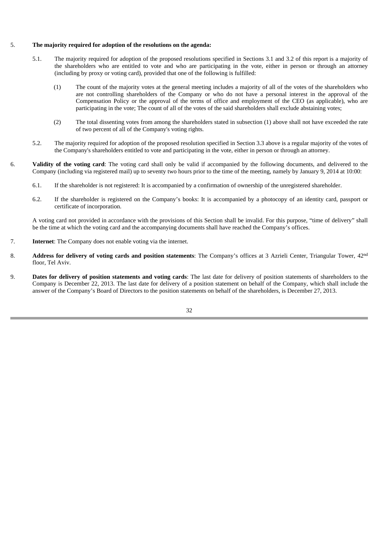#### 5. **The majority required for adoption of the resolutions on the agenda:**

- 5.1. The majority required for adoption of the proposed resolutions specified in Sections 3.1 and 3.2 of this report is a majority of the shareholders who are entitled to vote and who are participating in the vote, either in person or through an attorney (including by proxy or voting card), provided that one of the following is fulfilled:
	- (1) The count of the majority votes at the general meeting includes a majority of all of the votes of the shareholders who are not controlling shareholders of the Company or who do not have a personal interest in the approval of the Compensation Policy or the approval of the terms of office and employment of the CEO (as applicable), who are participating in the vote; The count of all of the votes of the said shareholders shall exclude abstaining votes;
	- (2) The total dissenting votes from among the shareholders stated in subsection (1) above shall not have exceeded the rate of two percent of all of the Company's voting rights.
- 5.2. The majority required for adoption of the proposed resolution specified in Section 3.3 above is a regular majority of the votes of the Company's shareholders entitled to vote and participating in the vote, either in person or through an attorney.
- 6. **Validity of the voting card**: The voting card shall only be valid if accompanied by the following documents, and delivered to the Company (including via registered mail) up to seventy two hours prior to the time of the meeting, namely by January 9, 2014 at 10:00:
	- 6.1. If the shareholder is not registered: It is accompanied by a confirmation of ownership of the unregistered shareholder.
	- 6.2. If the shareholder is registered on the Company's books: It is accompanied by a photocopy of an identity card, passport or certificate of incorporation.

A voting card not provided in accordance with the provisions of this Section shall be invalid. For this purpose, "time of delivery" shall be the time at which the voting card and the accompanying documents shall have reached the Company's offices.

- 7. **Internet**: The Company does not enable voting via the internet.
- 8. **Address for delivery of voting cards and position statements**: The Company's offices at 3 Azrieli Center, Triangular Tower, 42nd floor, Tel Aviv.
- 9. **Dates for delivery of position statements and voting cards**: The last date for delivery of position statements of shareholders to the Company is December 22, 2013. The last date for delivery of a position statement on behalf of the Company, which shall include the answer of the Company's Board of Directors to the position statements on behalf of the shareholders, is December 27, 2013.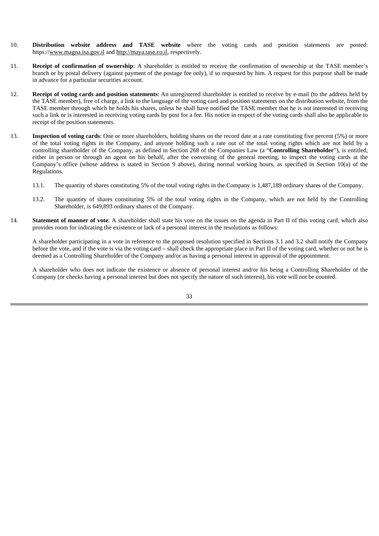- 10. **Distribution website address and TASE website** where the voting cards and position statements are posted: https://www.magna.isa.gov.il and http://maya.tase.co.il, respectively.
- 11. **Receipt of confirmation of ownership**: A shareholder is entitled to receive the confirmation of ownership at the TASE member's branch or by postal delivery (against payment of the postage fee only), if so requested by him. A request for this purpose shall be made in advance for a particular securities account.
- 12. **Receipt of voting cards and position statements**: An unregistered shareholder is entitled to receive by e-mail (to the address held by the TASE member), free of charge, a link to the language of the voting card and position statements on the distribution website, from the TASE member through which he holds his shares, unless he shall have notified the TASE member that he is not interested in receiving such a link or is interested in receiving voting cards by post for a fee. His notice in respect of the voting cards shall also be applicable to receipt of the position statements.
- 13. **Inspection of voting cards**: One or more shareholders, holding shares on the record date at a rate constituting five percent (5%) or more of the total voting rights in the Company, and anyone holding such a rate out of the total voting rights which are not held by a controlling shareholder of the Company, as defined in Section 268 of the Companies Law (a "**Controlling Shareholder**"), is entitled, either in person or through an agent on his behalf, after the convening of the general meeting, to inspect the voting cards at the Company's office (whose address is stated in Section 9 above), during normal working hours, as specified in Section 10(a) of the Regulations.
	- 13.1. The quantity of shares constituting 5% of the total voting rights in the Company is 1,487,189 ordinary shares of the Company.
	- 13.2. The quantity of shares constituting 5% of the total voting rights in the Company, which are not held by the Controlling Shareholder, is 649,893 ordinary shares of the Company.
- 14. **Statement of manner of vote**: A shareholder shall state his vote on the issues on the agenda in Part II of this voting card, which also provides room for indicating the existence or lack of a personal interest in the resolutions as follows:

A shareholder participating in a vote in reference to the proposed resolution specified in Sections 3.1 and 3.2 shall notify the Company before the vote, and if the vote is via the voting card – shall check the appropriate place in Part II of the voting card, whether or not he is deemed as a Controlling Shareholder of the Company and/or as having a personal interest in approval of the appointment.

A shareholder who does not indicate the existence or absence of personal interest and/or his being a Controlling Shareholder of the Company (or checks having a personal interest but does not specify the nature of such interest), his vote will not be counted.

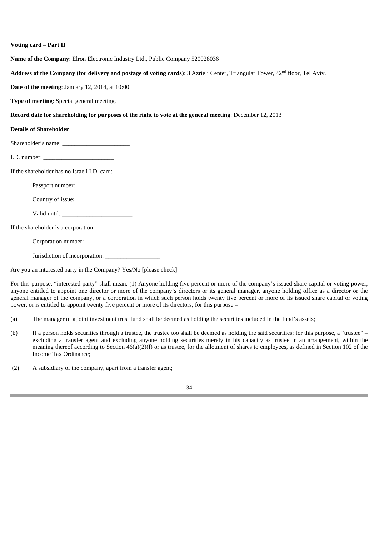#### **Voting card – Part II**

**Name of the Company**: Elron Electronic Industry Ltd., Public Company 520028036

**Address of the Company (for delivery and postage of voting cards)**: 3 Azrieli Center, Triangular Tower, 42nd floor, Tel Aviv.

**Date of the meeting**: January 12, 2014, at 10:00.

**Type of meeting**: Special general meeting.

#### **Record date for shareholding for purposes of the right to vote at the general meeting**: December 12, 2013

#### **Details of Shareholder**

Shareholder's name:

I.D. number:

If the shareholder has no Israeli I.D. card:

Passport number:

Country of issue:

Valid until:

If the shareholder is a corporation:

Corporation number:

Jurisdiction of incorporation:

Are you an interested party in the Company? Yes/No [please check]

For this purpose, "interested party" shall mean: (1) Anyone holding five percent or more of the company's issued share capital or voting power, anyone entitled to appoint one director or more of the company's directors or its general manager, anyone holding office as a director or the general manager of the company, or a corporation in which such person holds twenty five percent or more of its issued share capital or voting power, or is entitled to appoint twenty five percent or more of its directors; for this purpose –

(a) The manager of a joint investment trust fund shall be deemed as holding the securities included in the fund's assets;

(b) If a person holds securities through a trustee, the trustee too shall be deemed as holding the said securities; for this purpose, a "trustee" – excluding a transfer agent and excluding anyone holding securities merely in his capacity as trustee in an arrangement, within the meaning thereof according to Section 46(a)(2)(f) or as trustee, for the allotment of shares to employees, as defined in Section 102 of the Income Tax Ordinance;

(2) A subsidiary of the company, apart from a transfer agent;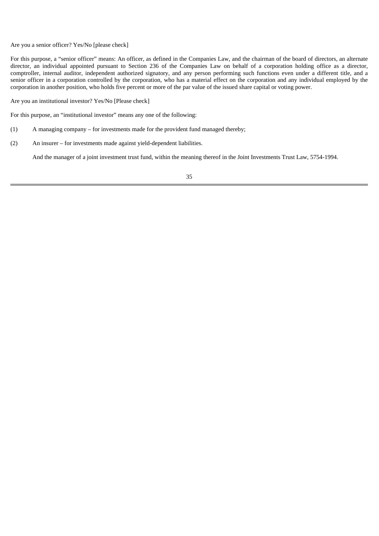Are you a senior officer? Yes/No [please check]

For this purpose, a "senior officer" means: An officer, as defined in the Companies Law, and the chairman of the board of directors, an alternate director, an individual appointed pursuant to Section 236 of the Companies Law on behalf of a corporation holding office as a director, comptroller, internal auditor, independent authorized signatory, and any person performing such functions even under a different title, and a senior officer in a corporation controlled by the corporation, who has a material effect on the corporation and any individual employed by the corporation in another position, who holds five percent or more of the par value of the issued share capital or voting power.

Are you an institutional investor? Yes/No [Please check]

For this purpose, an "institutional investor" means any one of the following:

- (1) A managing company for investments made for the provident fund managed thereby;
- (2) An insurer for investments made against yield-dependent liabilities.

And the manager of a joint investment trust fund, within the meaning thereof in the Joint Investments Trust Law, 5754-1994.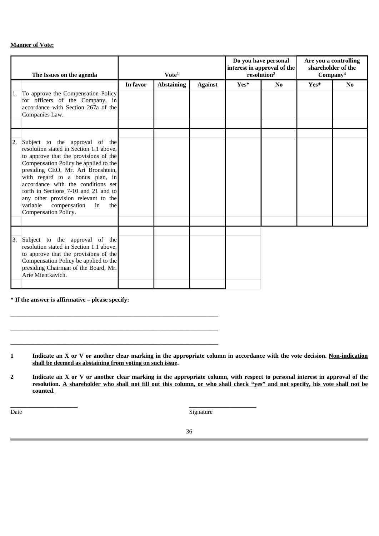#### **Manner of Vote:**

|    | The Issues on the agenda                                                                                                                                                                                                                                                                                                                                                                                                   |          | Vote <sup>1</sup> |                | Do you have personal<br>interest in approval of the<br>resolution <sup>2</sup> |    | Are you a controlling<br>shareholder of the<br>Company <sup>4</sup> |    |
|----|----------------------------------------------------------------------------------------------------------------------------------------------------------------------------------------------------------------------------------------------------------------------------------------------------------------------------------------------------------------------------------------------------------------------------|----------|-------------------|----------------|--------------------------------------------------------------------------------|----|---------------------------------------------------------------------|----|
|    |                                                                                                                                                                                                                                                                                                                                                                                                                            | In favor | <b>Abstaining</b> | <b>Against</b> | Yes*                                                                           | No | Yes*                                                                | No |
| 1. | To approve the Compensation Policy<br>for officers of the Company, in<br>accordance with Section 267a of the<br>Companies Law.                                                                                                                                                                                                                                                                                             |          |                   |                |                                                                                |    |                                                                     |    |
|    |                                                                                                                                                                                                                                                                                                                                                                                                                            |          |                   |                |                                                                                |    |                                                                     |    |
| 2. | Subject to the approval of the<br>resolution stated in Section 1.1 above,<br>to approve that the provisions of the<br>Compensation Policy be applied to the<br>presiding CEO, Mr. Ari Bronshtein,<br>with regard to a bonus plan, in<br>accordance with the conditions set<br>forth in Sections 7-10 and 21 and to<br>any other provision relevant to the<br>compensation<br>variable<br>in<br>the<br>Compensation Policy. |          |                   |                |                                                                                |    |                                                                     |    |
| 3. | Subject to the approval of the<br>resolution stated in Section 1.1 above,<br>to approve that the provisions of the<br>Compensation Policy be applied to the<br>presiding Chairman of the Board, Mr.<br>Arie Mientkavich.                                                                                                                                                                                                   |          |                   |                |                                                                                |    |                                                                     |    |

**\* If the answer is affirmative – please specify:**

**\_\_\_\_\_\_\_\_\_\_\_\_\_\_\_\_\_\_\_\_\_\_\_\_\_\_\_\_\_\_\_\_\_\_\_\_\_\_\_\_\_\_\_\_\_\_\_\_\_\_\_\_\_\_\_\_\_\_\_\_\_\_\_\_\_\_\_\_**

**\_\_\_\_\_\_\_\_\_\_\_\_\_\_\_\_\_\_\_\_\_\_\_\_\_\_\_\_\_\_\_\_\_\_\_\_\_\_\_\_\_\_\_\_\_\_\_\_\_\_\_\_\_\_\_\_\_\_\_\_\_\_\_\_\_\_\_\_**

**\_\_\_\_\_\_\_\_\_\_\_\_\_\_\_\_\_\_\_\_\_\_\_\_\_\_\_\_\_\_\_\_\_\_\_\_\_\_\_\_\_\_\_\_\_\_\_\_\_\_\_\_\_\_\_\_\_\_\_\_\_\_\_\_\_\_\_\_**

**1 Indicate an X or V or another clear marking in the appropriate column in accordance with the vote decision. Non-indication shall be deemed as abstaining from voting on such issue.**

**2 Indicate an X or V or another clear marking in the appropriate column, with respect to personal interest in approval of the resolution. A shareholder who shall not fill out this column, or who shall check "yes" and not specify, his vote shall not be counted.**

Date

**\_\_\_\_\_\_\_\_\_\_\_\_\_\_\_\_\_\_\_\_\_\_**

Signature

**\_\_\_\_\_\_\_\_\_\_\_\_\_\_\_\_\_\_\_\_\_\_**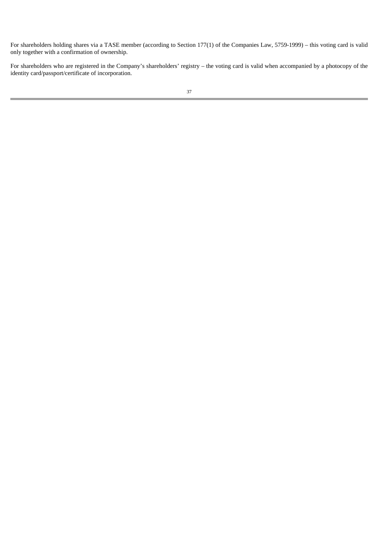For shareholders holding shares via a TASE member (according to Section 177(1) of the Companies Law, 5759-1999) – this voting card is valid only together with a confirmation of ownership.

For shareholders who are registered in the Company's shareholders' registry – the voting card is valid when accompanied by a photocopy of the identity card/passport/certificate of incorporation.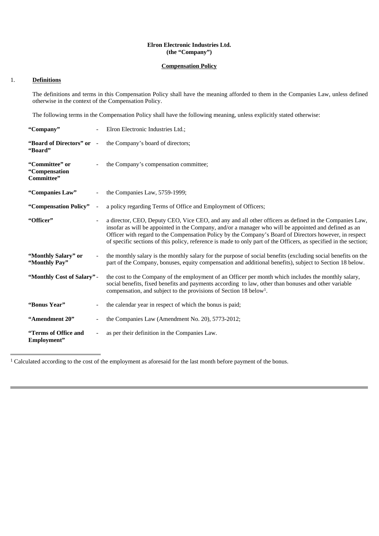#### **Elron Electronic Industries Ltd. (the "Company")**

#### **Compensation Policy**

#### 1. **Definitions**

The definitions and terms in this Compensation Policy shall have the meaning afforded to them in the Companies Law, unless defined otherwise in the context of the Compensation Policy.

The following terms in the Compensation Policy shall have the following meaning, unless explicitly stated otherwise:

| "Company"                                     |                          | Elron Electronic Industries Ltd.;                                                                                                                                                                                                                                                                                                                                                                                                              |
|-----------------------------------------------|--------------------------|------------------------------------------------------------------------------------------------------------------------------------------------------------------------------------------------------------------------------------------------------------------------------------------------------------------------------------------------------------------------------------------------------------------------------------------------|
| "Board of Directors" or<br>"Board"            | $\sim$                   | the Company's board of directors;                                                                                                                                                                                                                                                                                                                                                                                                              |
| "Committee" or<br>"Compensation<br>Committee" |                          | the Company's compensation committee;                                                                                                                                                                                                                                                                                                                                                                                                          |
| "Companies Law"                               |                          | the Companies Law, 5759-1999;                                                                                                                                                                                                                                                                                                                                                                                                                  |
| "Compensation Policy"                         | $\overline{\phantom{a}}$ | a policy regarding Terms of Office and Employment of Officers;                                                                                                                                                                                                                                                                                                                                                                                 |
| "Officer"                                     |                          | a director, CEO, Deputy CEO, Vice CEO, and any and all other officers as defined in the Companies Law,<br>insofar as will be appointed in the Company, and/or a manager who will be appointed and defined as an<br>Officer with regard to the Compensation Policy by the Company's Board of Directors however, in respect<br>of specific sections of this policy, reference is made to only part of the Officers, as specified in the section; |
| "Monthly Salary" or<br>"Monthly Pay"          |                          | the monthly salary is the monthly salary for the purpose of social benefits (excluding social benefits on the<br>part of the Company, bonuses, equity compensation and additional benefits), subject to Section 18 below.                                                                                                                                                                                                                      |
| "Monthly Cost of Salary" -                    |                          | the cost to the Company of the employment of an Officer per month which includes the monthly salary,<br>social benefits, fixed benefits and payments according to law, other than bonuses and other variable<br>compensation, and subject to the provisions of Section 18 below <sup>1</sup> .                                                                                                                                                 |
| "Bonus Year"                                  | $\overline{\phantom{a}}$ | the calendar year in respect of which the bonus is paid;                                                                                                                                                                                                                                                                                                                                                                                       |
| "Amendment 20"                                |                          | the Companies Law (Amendment No. 20), 5773-2012;                                                                                                                                                                                                                                                                                                                                                                                               |
| "Terms of Office and<br>Employment"           | $\overline{\phantom{a}}$ | as per their definition in the Companies Law.                                                                                                                                                                                                                                                                                                                                                                                                  |

<sup>&</sup>lt;sup>1</sup> Calculated according to the cost of the employment as aforesaid for the last month before payment of the bonus.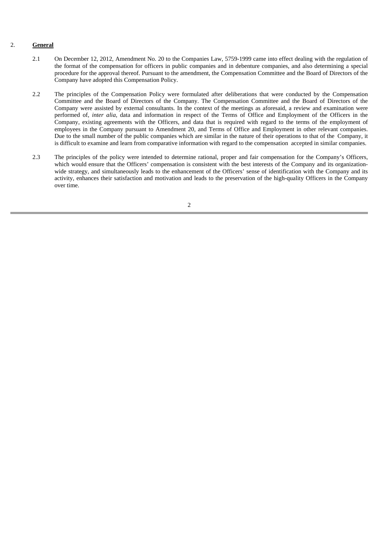#### 2. **General**

- 2.1 On December 12, 2012, Amendment No. 20 to the Companies Law, 5759-1999 came into effect dealing with the regulation of the format of the compensation for officers in public companies and in debenture companies, and also determining a special procedure for the approval thereof. Pursuant to the amendment, the Compensation Committee and the Board of Directors of the Company have adopted this Compensation Policy.
- 2.2 The principles of the Compensation Policy were formulated after deliberations that were conducted by the Compensation Committee and the Board of Directors of the Company. The Compensation Committee and the Board of Directors of the Company were assisted by external consultants. In the context of the meetings as aforesaid, a review and examination were performed of, *inter alia*, data and information in respect of the Terms of Office and Employment of the Officers in the Company, existing agreements with the Officers, and data that is required with regard to the terms of the employment of employees in the Company pursuant to Amendment 20, and Terms of Office and Employment in other relevant companies. Due to the small number of the public companies which are similar in the nature of their operations to that of the Company, it is difficult to examine and learn from comparative information with regard to the compensation accepted in similar companies.
- 2.3 The principles of the policy were intended to determine rational, proper and fair compensation for the Company's Officers, which would ensure that the Officers' compensation is consistent with the best interests of the Company and its organizationwide strategy, and simultaneously leads to the enhancement of the Officers' sense of identification with the Company and its activity, enhances their satisfaction and motivation and leads to the preservation of the high-quality Officers in the Company over time.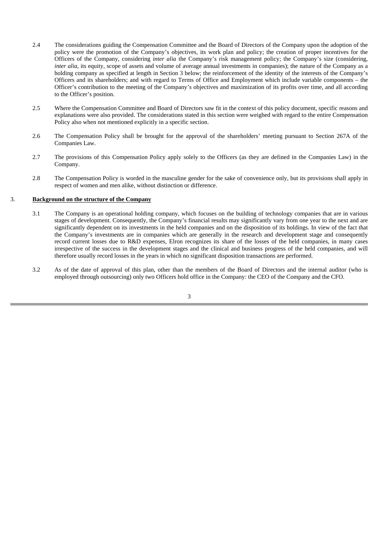- 2.4 The considerations guiding the Compensation Committee and the Board of Directors of the Company upon the adoption of the policy were the promotion of the Company's objectives, its work plan and policy; the creation of proper incentives for the Officers of the Company, considering *inter alia* the Company's risk management policy; the Company's size (considering, *inter alia*, its equity, scope of assets and volume of average annual investments in companies); the nature of the Company as a holding company as specified at length in Section 3 below; the reinforcement of the identity of the interests of the Company's Officers and its shareholders; and with regard to Terms of Office and Employment which include variable components – the Officer's contribution to the meeting of the Company's objectives and maximization of its profits over time, and all according to the Officer's position.
- 2.5 Where the Compensation Committee and Board of Directors saw fit in the context of this policy document, specific reasons and explanations were also provided. The considerations stated in this section were weighed with regard to the entire Compensation Policy also when not mentioned explicitly in a specific section.
- 2.6 The Compensation Policy shall be brought for the approval of the shareholders' meeting pursuant to Section 267A of the Companies Law.
- 2.7 The provisions of this Compensation Policy apply solely to the Officers (as they are defined in the Companies Law) in the Company.
- 2.8 The Compensation Policy is worded in the masculine gender for the sake of convenience only, but its provisions shall apply in respect of women and men alike, without distinction or difference.

#### 3. **Background on the structure of the Company**

- 3.1 The Company is an operational holding company, which focuses on the building of technology companies that are in various stages of development. Consequently, the Company's financial results may significantly vary from one year to the next and are significantly dependent on its investments in the held companies and on the disposition of its holdings. In view of the fact that the Company's investments are in companies which are generally in the research and development stage and consequently record current losses due to R&D expenses, Elron recognizes its share of the losses of the held companies, in many cases irrespective of the success in the development stages and the clinical and business progress of the held companies, and will therefore usually record losses in the years in which no significant disposition transactions are performed.
- 3.2 As of the date of approval of this plan, other than the members of the Board of Directors and the internal auditor (who is employed through outsourcing) only two Officers hold office in the Company: the CEO of the Company and the CFO.

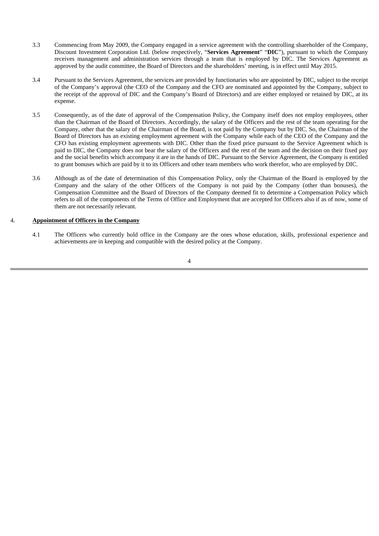- 3.3 Commencing from May 2009, the Company engaged in a service agreement with the controlling shareholder of the Company, Discount Investment Corporation Ltd. (below respectively, "**Services Agreement**" "**DIC**"), pursuant to which the Company receives management and administration services through a team that is employed by DIC. The Services Agreement as approved by the audit committee, the Board of Directors and the shareholders' meeting, is in effect until May 2015.
- 3.4 Pursuant to the Services Agreement, the services are provided by functionaries who are appointed by DIC, subject to the receipt of the Company's approval (the CEO of the Company and the CFO are nominated and appointed by the Company, subject to the receipt of the approval of DIC and the Company's Board of Directors) and are either employed or retained by DIC, at its expense.
- 3.5 Consequently, as of the date of approval of the Compensation Policy, the Company itself does not employ employees, other than the Chairman of the Board of Directors. Accordingly, the salary of the Officers and the rest of the team operating for the Company, other that the salary of the Chairman of the Board, is not paid by the Company but by DIC. So, the Chairman of the Board of Directors has an existing employment agreement with the Company while each of the CEO of the Company and the CFO has existing employment agreements with DIC. Other than the fixed price pursuant to the Service Agreement which is paid to DIC, the Company does not bear the salary of the Officers and the rest of the team and the decision on their fixed pay and the social benefits which accompany it are in the hands of DIC. Pursuant to the Service Agreement, the Company is entitled to grant bonuses which are paid by it to its Officers and other team members who work therefor, who are employed by DIC.
- 3.6 Although as of the date of determination of this Compensation Policy, only the Chairman of the Board is employed by the Company and the salary of the other Officers of the Company is not paid by the Company (other than bonuses), the Compensation Committee and the Board of Directors of the Company deemed fit to determine a Compensation Policy which refers to all of the components of the Terms of Office and Employment that are accepted for Officers also if as of now, some of them are not necessarily relevant.

#### 4. **Appointment of Officers in the Company**

4.1 The Officers who currently hold office in the Company are the ones whose education, skills, professional experience and achievements are in keeping and compatible with the desired policy at the Company.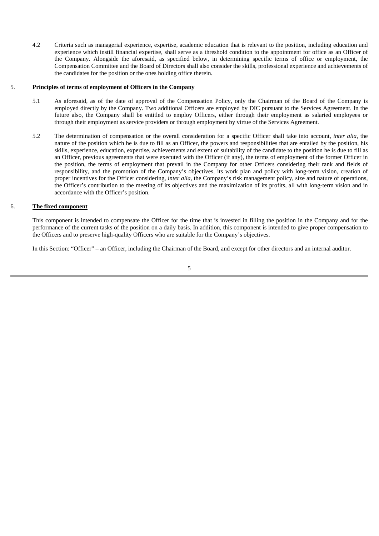4.2 Criteria such as managerial experience, expertise, academic education that is relevant to the position, including education and experience which instill financial expertise, shall serve as a threshold condition to the appointment for office as an Officer of the Company. Alongside the aforesaid, as specified below, in determining specific terms of office or employment, the Compensation Committee and the Board of Directors shall also consider the skills, professional experience and achievements of the candidates for the position or the ones holding office therein.

#### 5. **Principles of terms of employment of Officers in the Company**

- 5.1 As aforesaid, as of the date of approval of the Compensation Policy, only the Chairman of the Board of the Company is employed directly by the Company. Two additional Officers are employed by DIC pursuant to the Services Agreement. In the future also, the Company shall be entitled to employ Officers, either through their employment as salaried employees or through their employment as service providers or through employment by virtue of the Services Agreement.
- 5.2 The determination of compensation or the overall consideration for a specific Officer shall take into account, *inter alia*, the nature of the position which he is due to fill as an Officer, the powers and responsibilities that are entailed by the position, his skills, experience, education, expertise, achievements and extent of suitability of the candidate to the position he is due to fill as an Officer, previous agreements that were executed with the Officer (if any), the terms of employment of the former Officer in the position, the terms of employment that prevail in the Company for other Officers considering their rank and fields of responsibility, and the promotion of the Company's objectives, its work plan and policy with long-term vision, creation of proper incentives for the Officer considering, *inter alia*, the Company's risk management policy, size and nature of operations, the Officer's contribution to the meeting of its objectives and the maximization of its profits, all with long-term vision and in accordance with the Officer's position.

#### 6. **The fixed component**

This component is intended to compensate the Officer for the time that is invested in filling the position in the Company and for the performance of the current tasks of the position on a daily basis. In addition, this component is intended to give proper compensation to the Officers and to preserve high-quality Officers who are suitable for the Company's objectives.

In this Section: "Officer" – an Officer, including the Chairman of the Board, and except for other directors and an internal auditor.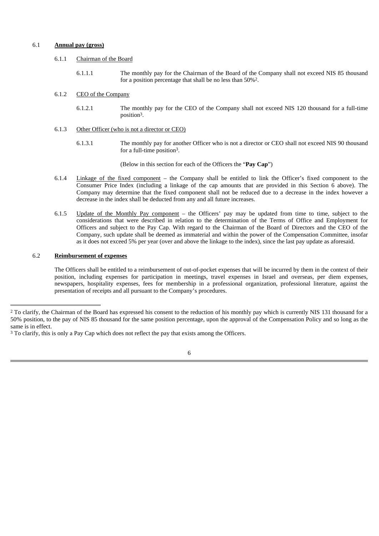#### 6.1 **Annual pay (gross)**

#### 6.1.1 Chairman of the Board

6.1.1.1 The monthly pay for the Chairman of the Board of the Company shall not exceed NIS 85 thousand for a position percentage that shall be no less than 50%2.

#### 6.1.2 CEO of the Company

- 6.1.2.1 The monthly pay for the CEO of the Company shall not exceed NIS 120 thousand for a full-time position3.
- 6.1.3 Other Officer (who is not a director or CEO)
	- 6.1.3.1 The monthly pay for another Officer who is not a director or CEO shall not exceed NIS 90 thousand for a full-time position3.

(Below in this section for each of the Officers the "**Pay Cap**")

- 6.1.4 Linkage of the fixed component the Company shall be entitled to link the Officer's fixed component to the Consumer Price Index (including a linkage of the cap amounts that are provided in this Section 6 above). The Company may determine that the fixed component shall not be reduced due to a decrease in the index however a decrease in the index shall be deducted from any and all future increases.
- 6.1.5 Update of the Monthly Pay component the Officers' pay may be updated from time to time, subject to the considerations that were described in relation to the determination of the Terms of Office and Employment for Officers and subject to the Pay Cap. With regard to the Chairman of the Board of Directors and the CEO of the Company, such update shall be deemed as immaterial and within the power of the Compensation Committee, insofar as it does not exceed 5% per year (over and above the linkage to the index), since the last pay update as aforesaid.

#### 6.2 **Reimbursement of expenses**

The Officers shall be entitled to a reimbursement of out-of-pocket expenses that will be incurred by them in the context of their position, including expenses for participation in meetings, travel expenses in Israel and overseas, per diem expenses, newspapers, hospitality expenses, fees for membership in a professional organization, professional literature, against the presentation of receipts and all pursuant to the Company's procedures.

<sup>&</sup>lt;sup>2</sup> To clarify, the Chairman of the Board has expressed his consent to the reduction of his monthly pay which is currently NIS 131 thousand for a 50% position, to the pay of NIS 85 thousand for the same position percentage, upon the approval of the Compensation Policy and so long as the same is in effect.

<sup>&</sup>lt;sup>3</sup> To clarify, this is only a Pay Cap which does not reflect the pay that exists among the Officers.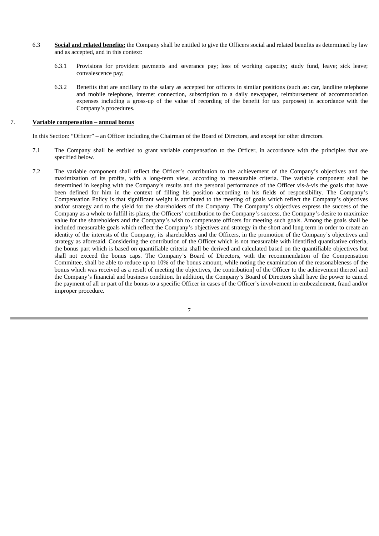- 6.3 **Social and related benefits:** the Company shall be entitled to give the Officers social and related benefits as determined by law and as accepted, and in this context:
	- 6.3.1 Provisions for provident payments and severance pay; loss of working capacity; study fund, leave; sick leave; convalescence pay;
	- 6.3.2 Benefits that are ancillary to the salary as accepted for officers in similar positions (such as: car, landline telephone and mobile telephone, internet connection, subscription to a daily newspaper, reimbursement of accommodation expenses including a gross-up of the value of recording of the benefit for tax purposes) in accordance with the Company's procedures.

#### 7. **Variable compensation – annual bonus**

In this Section: "Officer" – an Officer including the Chairman of the Board of Directors, and except for other directors.

- 7.1 The Company shall be entitled to grant variable compensation to the Officer, in accordance with the principles that are specified below.
- 7.2 The variable component shall reflect the Officer's contribution to the achievement of the Company's objectives and the maximization of its profits, with a long-term view, according to measurable criteria. The variable component shall be determined in keeping with the Company's results and the personal performance of the Officer vis-à-vis the goals that have been defined for him in the context of filling his position according to his fields of responsibility. The Company's Compensation Policy is that significant weight is attributed to the meeting of goals which reflect the Company's objectives and/or strategy and to the yield for the shareholders of the Company. The Company's objectives express the success of the Company as a whole to fulfill its plans, the Officers' contribution to the Company's success, the Company's desire to maximize value for the shareholders and the Company's wish to compensate officers for meeting such goals. Among the goals shall be included measurable goals which reflect the Company's objectives and strategy in the short and long term in order to create an identity of the interests of the Company, its shareholders and the Officers, in the promotion of the Company's objectives and strategy as aforesaid. Considering the contribution of the Officer which is not measurable with identified quantitative criteria, the bonus part which is based on quantifiable criteria shall be derived and calculated based on the quantifiable objectives but shall not exceed the bonus caps. The Company's Board of Directors, with the recommendation of the Compensation Committee, shall be able to reduce up to 10% of the bonus amount, while noting the examination of the reasonableness of the bonus which was received as a result of meeting the objectives, the contribution] of the Officer to the achievement thereof and the Company's financial and business condition. In addition, the Company's Board of Directors shall have the power to cancel the payment of all or part of the bonus to a specific Officer in cases of the Officer's involvement in embezzlement, fraud and/or improper procedure.

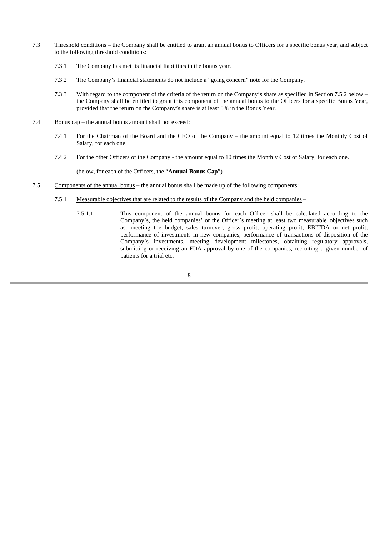- 7.3 Threshold conditions the Company shall be entitled to grant an annual bonus to Officers for a specific bonus year, and subject to the following threshold conditions:
	- 7.3.1 The Company has met its financial liabilities in the bonus year.
	- 7.3.2 The Company's financial statements do not include a "going concern" note for the Company.
	- 7.3.3 With regard to the component of the criteria of the return on the Company's share as specified in Section 7.5.2 below the Company shall be entitled to grant this component of the annual bonus to the Officers for a specific Bonus Year, provided that the return on the Company's share is at least 5% in the Bonus Year.
- 7.4 Bonus cap the annual bonus amount shall not exceed:
	- 7.4.1 For the Chairman of the Board and the CEO of the Company the amount equal to 12 times the Monthly Cost of Salary, for each one.
	- 7.4.2 For the other Officers of the Company the amount equal to 10 times the Monthly Cost of Salary, for each one.

(below, for each of the Officers, the "**Annual Bonus Cap**")

- 7.5 Components of the annual bonus the annual bonus shall be made up of the following components:
	- 7.5.1 Measurable objectives that are related to the results of the Company and the held companies
		- 7.5.1.1 This component of the annual bonus for each Officer shall be calculated according to the Company's, the held companies' or the Officer's meeting at least two measurable objectives such as: meeting the budget, sales turnover, gross profit, operating profit, EBITDA or net profit, performance of investments in new companies, performance of transactions of disposition of the Company's investments, meeting development milestones, obtaining regulatory approvals, submitting or receiving an FDA approval by one of the companies, recruiting a given number of patients for a trial etc.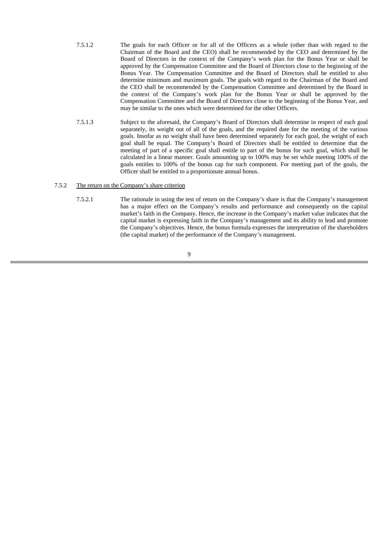- 7.5.1.2 The goals for each Officer or for all of the Officers as a whole (other than with regard to the Chairman of the Board and the CEO) shall be recommended by the CEO and determined by the Board of Directors in the context of the Company's work plan for the Bonus Year or shall be approved by the Compensation Committee and the Board of Directors close to the beginning of the Bonus Year. The Compensation Committee and the Board of Directors shall be entitled to also determine minimum and maximum goals. The goals with regard to the Chairman of the Board and the CEO shall be recommended by the Compensation Committee and determined by the Board in the context of the Company's work plan for the Bonus Year or shall be approved by the Compensation Committee and the Board of Directors close to the beginning of the Bonus Year, and may be similar to the ones which were determined for the other Officers.
- 7.5.1.3 Subject to the aforesaid, the Company's Board of Directors shall determine in respect of each goal separately, its weight out of all of the goals, and the required date for the meeting of the various goals. Insofar as no weight shall have been determined separately for each goal, the weight of each goal shall be equal. The Company's Board of Directors shall be entitled to determine that the meeting of part of a specific goal shall entitle to part of the bonus for such goal, which shall be calculated in a linear manner. Goals amounting up to 100% may be set while meeting 100% of the goals entitles to 100% of the bonus cap for such component. For meeting part of the goals, the Officer shall be entitled to a proportionate annual bonus.

#### 7.5.2 The return on the Company's share criterion

7.5.2.1 The rationale in using the test of return on the Company's share is that the Company's management has a major effect on the Company's results and performance and consequently on the capital market's faith in the Company. Hence, the increase in the Company's market value indicates that the capital market is expressing faith in the Company's management and its ability to lead and promote the Company's objectives. Hence, the bonus formula expresses the interpretation of the shareholders (the capital market) of the performance of the Company's management.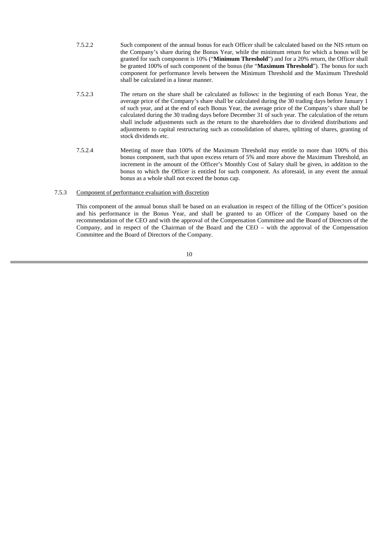- 7.5.2.2 Such component of the annual bonus for each Officer shall be calculated based on the NIS return on the Company's share during the Bonus Year, while the minimum return for which a bonus will be granted for such component is 10% ("**Minimum Threshold**") and for a 20% return, the Officer shall be granted 100% of such component of the bonus (the "**Maximum Threshold**"). The bonus for such component for performance levels between the Minimum Threshold and the Maximum Threshold shall be calculated in a linear manner.
- 7.5.2.3 The return on the share shall be calculated as follows: in the beginning of each Bonus Year, the average price of the Company's share shall be calculated during the 30 trading days before January 1 of such year, and at the end of each Bonus Year, the average price of the Company's share shall be calculated during the 30 trading days before December 31 of such year. The calculation of the return shall include adjustments such as the return to the shareholders due to dividend distributions and adjustments to capital restructuring such as consolidation of shares, splitting of shares, granting of stock dividends etc.
- 7.5.2.4 Meeting of more than 100% of the Maximum Threshold may entitle to more than 100% of this bonus component, such that upon excess return of 5% and more above the Maximum Threshold, an increment in the amount of the Officer's Monthly Cost of Salary shall be given, in addition to the bonus to which the Officer is entitled for such component. As aforesaid, in any event the annual bonus as a whole shall not exceed the bonus cap.

#### 7.5.3 Component of performance evaluation with discretion

This component of the annual bonus shall be based on an evaluation in respect of the filling of the Officer's position and his performance in the Bonus Year, and shall be granted to an Officer of the Company based on the recommendation of the CEO and with the approval of the Compensation Committee and the Board of Directors of the Company, and in respect of the Chairman of the Board and the CEO – with the approval of the Compensation Committee and the Board of Directors of the Company.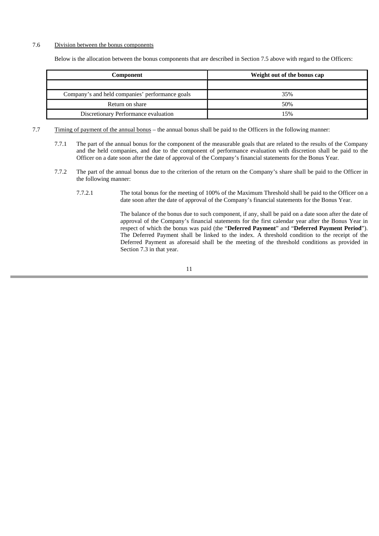#### 7.6 Division between the bonus components

Below is the allocation between the bonus components that are described in Section 7.5 above with regard to the Officers:

| Component                                       | Weight out of the bonus cap |  |  |  |
|-------------------------------------------------|-----------------------------|--|--|--|
|                                                 |                             |  |  |  |
| Company's and held companies' performance goals | 35%                         |  |  |  |
| Return on share                                 | 50%                         |  |  |  |
| Discretionary Performance evaluation            | 15%                         |  |  |  |

- 7.7 Timing of payment of the annual bonus the annual bonus shall be paid to the Officers in the following manner:
	- 7.7.1 The part of the annual bonus for the component of the measurable goals that are related to the results of the Company and the held companies, and due to the component of performance evaluation with discretion shall be paid to the Officer on a date soon after the date of approval of the Company's financial statements for the Bonus Year.
	- 7.7.2 The part of the annual bonus due to the criterion of the return on the Company's share shall be paid to the Officer in the following manner:
		- 7.7.2.1 The total bonus for the meeting of 100% of the Maximum Threshold shall be paid to the Officer on a date soon after the date of approval of the Company's financial statements for the Bonus Year.

The balance of the bonus due to such component, if any, shall be paid on a date soon after the date of approval of the Company's financial statements for the first calendar year after the Bonus Year in respect of which the bonus was paid (the "**Deferred Payment**" and "**Deferred Payment Period**"). The Deferred Payment shall be linked to the index. A threshold condition to the receipt of the Deferred Payment as aforesaid shall be the meeting of the threshold conditions as provided in Section 7.3 in that year.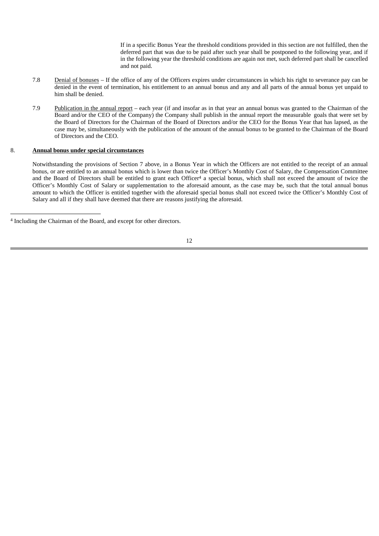If in a specific Bonus Year the threshold conditions provided in this section are not fulfilled, then the deferred part that was due to be paid after such year shall be postponed to the following year, and if in the following year the threshold conditions are again not met, such deferred part shall be cancelled and not paid.

- 7.8 Denial of bonuses If the office of any of the Officers expires under circumstances in which his right to severance pay can be denied in the event of termination, his entitlement to an annual bonus and any and all parts of the annual bonus yet unpaid to him shall be denied.
- 7.9 Publication in the annual report each year (if and insofar as in that year an annual bonus was granted to the Chairman of the Board and/or the CEO of the Company) the Company shall publish in the annual report the measurable goals that were set by the Board of Directors for the Chairman of the Board of Directors and/or the CEO for the Bonus Year that has lapsed, as the case may be, simultaneously with the publication of the amount of the annual bonus to be granted to the Chairman of the Board of Directors and the CEO.

#### 8. **Annual bonus under special circumstances**

Notwithstanding the provisions of Section 7 above, in a Bonus Year in which the Officers are not entitled to the receipt of an annual bonus, or are entitled to an annual bonus which is lower than twice the Officer's Monthly Cost of Salary, the Compensation Committee and the Board of Directors shall be entitled to grant each Officer<sup>4</sup> a special bonus, which shall not exceed the amount of twice the Officer's Monthly Cost of Salary or supplementation to the aforesaid amount, as the case may be, such that the total annual bonus amount to which the Officer is entitled together with the aforesaid special bonus shall not exceed twice the Officer's Monthly Cost of Salary and all if they shall have deemed that there are reasons justifying the aforesaid.

<sup>4</sup> Including the Chairman of the Board, and except for other directors.

<sup>12</sup>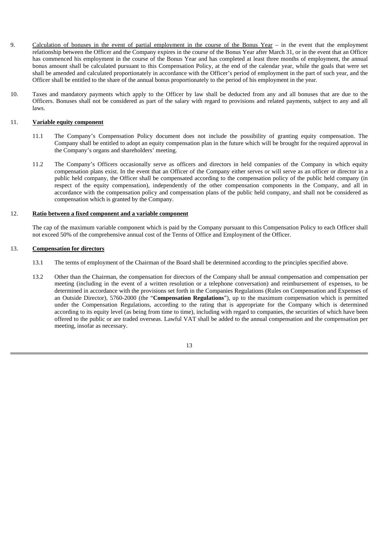- 9. Calculation of bonuses in the event of partial employment in the course of the Bonus Year in the event that the employment relationship between the Officer and the Company expires in the course of the Bonus Year after March 31, or in the event that an Officer has commenced his employment in the course of the Bonus Year and has completed at least three months of employment, the annual bonus amount shall be calculated pursuant to this Compensation Policy, at the end of the calendar year, while the goals that were set shall be amended and calculated proportionately in accordance with the Officer's period of employment in the part of such year, and the Officer shall be entitled to the share of the annual bonus proportionately to the period of his employment in the year.
- 10. Taxes and mandatory payments which apply to the Officer by law shall be deducted from any and all bonuses that are due to the Officers. Bonuses shall not be considered as part of the salary with regard to provisions and related payments, subject to any and all laws.

#### 11. **Variable equity component**

- 11.1 The Company's Compensation Policy document does not include the possibility of granting equity compensation. The Company shall be entitled to adopt an equity compensation plan in the future which will be brought for the required approval in the Company's organs and shareholders' meeting.
- 11.2 The Company's Officers occasionally serve as officers and directors in held companies of the Company in which equity compensation plans exist. In the event that an Officer of the Company either serves or will serve as an officer or director in a public held company, the Officer shall be compensated according to the compensation policy of the public held company (in respect of the equity compensation), independently of the other compensation components in the Company, and all in accordance with the compensation policy and compensation plans of the public held company, and shall not be considered as compensation which is granted by the Company.

### 12. **Ratio between a fixed component and a variable component**

The cap of the maximum variable component which is paid by the Company pursuant to this Compensation Policy to each Officer shall not exceed 50% of the comprehensive annual cost of the Terms of Office and Employment of the Officer.

#### 13. **Compensation for directors**

- 13.1 The terms of employment of the Chairman of the Board shall be determined according to the principles specified above.
- 13.2 Other than the Chairman, the compensation for directors of the Company shall be annual compensation and compensation per meeting (including in the event of a written resolution or a telephone conversation) and reimbursement of expenses, to be determined in accordance with the provisions set forth in the Companies Regulations (Rules on Compensation and Expenses of an Outside Director), 5760-2000 (the "**Compensation Regulations**"), up to the maximum compensation which is permitted under the Compensation Regulations, according to the rating that is appropriate for the Company which is determined according to its equity level (as being from time to time), including with regard to companies, the securities of which have been offered to the public or are traded overseas. Lawful VAT shall be added to the annual compensation and the compensation per meeting, insofar as necessary.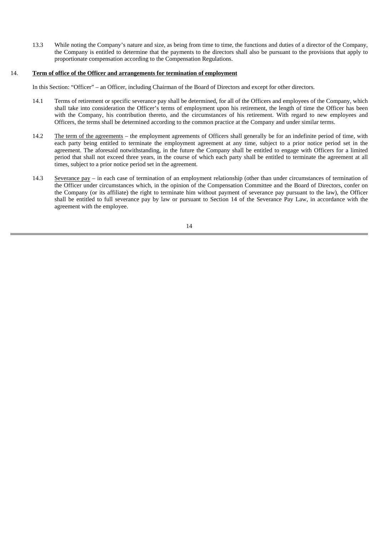13.3 While noting the Company's nature and size, as being from time to time, the functions and duties of a director of the Company, the Company is entitled to determine that the payments to the directors shall also be pursuant to the provisions that apply to proportionate compensation according to the Compensation Regulations.

#### 14. **Term of office of the Officer and arrangements for termination of employment**

In this Section: "Officer" – an Officer, including Chairman of the Board of Directors and except for other directors.

- 14.1 Terms of retirement or specific severance pay shall be determined, for all of the Officers and employees of the Company, which shall take into consideration the Officer's terms of employment upon his retirement, the length of time the Officer has been with the Company, his contribution thereto, and the circumstances of his retirement. With regard to new employees and Officers, the terms shall be determined according to the common practice at the Company and under similar terms.
- 14.2 The term of the agreements the employment agreements of Officers shall generally be for an indefinite period of time, with each party being entitled to terminate the employment agreement at any time, subject to a prior notice period set in the agreement. The aforesaid notwithstanding, in the future the Company shall be entitled to engage with Officers for a limited period that shall not exceed three years, in the course of which each party shall be entitled to terminate the agreement at all times, subject to a prior notice period set in the agreement.
- 14.3 Severance pay in each case of termination of an employment relationship (other than under circumstances of termination of the Officer under circumstances which, in the opinion of the Compensation Committee and the Board of Directors, confer on the Company (or its affiliate) the right to terminate him without payment of severance pay pursuant to the law), the Officer shall be entitled to full severance pay by law or pursuant to Section 14 of the Severance Pay Law, in accordance with the agreement with the employee.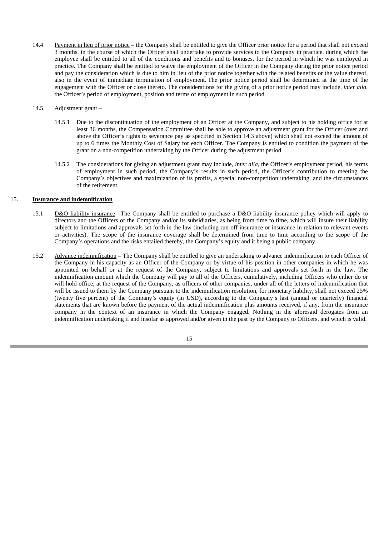14.4 Payment in lieu of prior notice – the Company shall be entitled to give the Officer prior notice for a period that shall not exceed 3 months, in the course of which the Officer shall undertake to provide services to the Company in practice, during which the employee shall be entitled to all of the conditions and benefits and to bonuses, for the period in which he was employed in practice. The Company shall be entitled to waive the employment of the Officer in the Company during the prior notice period and pay the consideration which is due to him in lieu of the prior notice together with the related benefits or the value thereof, also in the event of immediate termination of employment. The prior notice period shall be determined at the time of the engagement with the Officer or close thereto. The considerations for the giving of a prior notice period may include, *inter alia*, the Officer's period of employment, position and terms of employment in such period.

#### 14.5 Adjustment grant –

- 14.5.1 Due to the discontinuation of the employment of an Officer at the Company, and subject to his holding office for at least 36 months, the Compensation Committee shall be able to approve an adjustment grant for the Officer (over and above the Officer's rights to severance pay as specified in Section 14.3 above) which shall not exceed the amount of up to 6 times the Monthly Cost of Salary for each Officer. The Company is entitled to condition the payment of the grant on a non-competition undertaking by the Officer during the adjustment period.
- 14.5.2 The considerations for giving an adjustment grant may include, *inter alia*, the Officer's employment period, his terms of employment in such period, the Company's results in such period, the Officer's contribution to meeting the Company's objectives and maximization of its profits, a special non-competition undertaking, and the circumstances of the retirement.

#### 15. **Insurance and indemnification**

- 15.1 D&O liability insurance –The Company shall be entitled to purchase a D&O liability insurance policy which will apply to directors and the Officers of the Company and/or its subsidiaries, as being from time to time, which will insure their liability subject to limitations and approvals set forth in the law (including run-off insurance or insurance in relation to relevant events or activities). The scope of the insurance coverage shall be determined from time to time according to the scope of the Company's operations and the risks entailed thereby, the Company's equity and it being a public company.
- 15.2 Advance indemnification The Company shall be entitled to give an undertaking to advance indemnification to each Officer of the Company in his capacity as an Officer of the Company or by virtue of his position in other companies in which he was appointed on behalf or at the request of the Company, subject to limitations and approvals set forth in the law. The indemnification amount which the Company will pay to all of the Officers, cumulatively, including Officers who either do or will hold office, at the request of the Company, as officers of other companies, under all of the letters of indemnification that will be issued to them by the Company pursuant to the indemnification resolution, for monetary liability, shall not exceed 25% (twenty five percent) of the Company's equity (in USD), according to the Company's last (annual or quarterly) financial statements that are known before the payment of the actual indemnification plus amounts received, if any, from the insurance company in the context of an insurance in which the Company engaged. Nothing in the aforesaid derogates from an indemnification undertaking if and insofar as approved and/or given in the past by the Company to Officers, and which is valid.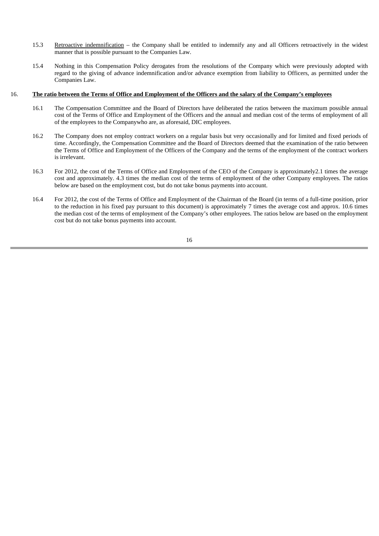- 15.3 Retroactive indemnification the Company shall be entitled to indemnify any and all Officers retroactively in the widest manner that is possible pursuant to the Companies Law.
- 15.4 Nothing in this Compensation Policy derogates from the resolutions of the Company which were previously adopted with regard to the giving of advance indemnification and/or advance exemption from liability to Officers, as permitted under the Companies Law.

#### 16. **The ratio between the Terms of Office and Employment of the Officers and the salary of the Company's employees**

- 16.1 The Compensation Committee and the Board of Directors have deliberated the ratios between the maximum possible annual cost of the Terms of Office and Employment of the Officers and the annual and median cost of the terms of employment of all of the employees to the Companywho are, as aforesaid, DIC employees.
- 16.2 The Company does not employ contract workers on a regular basis but very occasionally and for limited and fixed periods of time. Accordingly, the Compensation Committee and the Board of Directors deemed that the examination of the ratio between the Terms of Office and Employment of the Officers of the Company and the terms of the employment of the contract workers is irrelevant.
- 16.3 For 2012, the cost of the Terms of Office and Employment of the CEO of the Company is approximately2.1 times the average cost and approximately. 4.3 times the median cost of the terms of employment of the other Company employees. The ratios below are based on the employment cost, but do not take bonus payments into account.
- 16.4 For 2012, the cost of the Terms of Office and Employment of the Chairman of the Board (in terms of a full-time position, prior to the reduction in his fixed pay pursuant to this document) is approximately 7 times the average cost and approx. 10.6 times the median cost of the terms of employment of the Company's other employees. The ratios below are based on the employment cost but do not take bonus payments into account.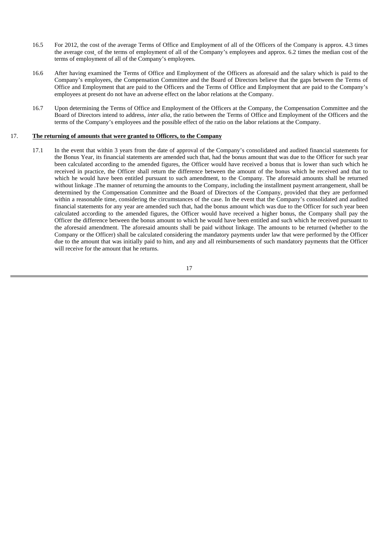- 16.5 For 2012, the cost of the average Terms of Office and Employment of all of the Officers of the Company is approx. 4.3 times the average cost of the terms of employment of all of the Company's employees and approx. 6.2 times the median cost of the terms of employment of all of the Company's employees.
- 16.6 After having examined the Terms of Office and Employment of the Officers as aforesaid and the salary which is paid to the Company's employees, the Compensation Committee and the Board of Directors believe that the gaps between the Terms of Office and Employment that are paid to the Officers and the Terms of Office and Employment that are paid to the Company's employees at present do not have an adverse effect on the labor relations at the Company.
- 16.7 Upon determining the Terms of Office and Employment of the Officers at the Company, the Compensation Committee and the Board of Directors intend to address, *inter alia*, the ratio between the Terms of Office and Employment of the Officers and the terms of the Company's employees and the possible effect of the ratio on the labor relations at the Company.

#### 17. **The returning of amounts that were granted to Officers, to the Company**

17.1 In the event that within 3 years from the date of approval of the Company's consolidated and audited financial statements for the Bonus Year, its financial statements are amended such that, had the bonus amount that was due to the Officer for such year been calculated according to the amended figures, the Officer would have received a bonus that is lower than such which he received in practice, the Officer shall return the difference between the amount of the bonus which he received and that to which he would have been entitled pursuant to such amendment, to the Company. The aforesaid amounts shall be returned without linkage .The manner of returning the amounts to the Company, including the installment payment arrangement, shall be determined by the Compensation Committee and the Board of Directors of the Company, provided that they are performed within a reasonable time, considering the circumstances of the case. In the event that the Company's consolidated and audited financial statements for any year are amended such that, had the bonus amount which was due to the Officer for such year been calculated according to the amended figures, the Officer would have received a higher bonus, the Company shall pay the Officer the difference between the bonus amount to which he would have been entitled and such which he received pursuant to the aforesaid amendment. The aforesaid amounts shall be paid without linkage. The amounts to be returned (whether to the Company or the Officer) shall be calculated considering the mandatory payments under law that were performed by the Officer due to the amount that was initially paid to him, and any and all reimbursements of such mandatory payments that the Officer will receive for the amount that he returns.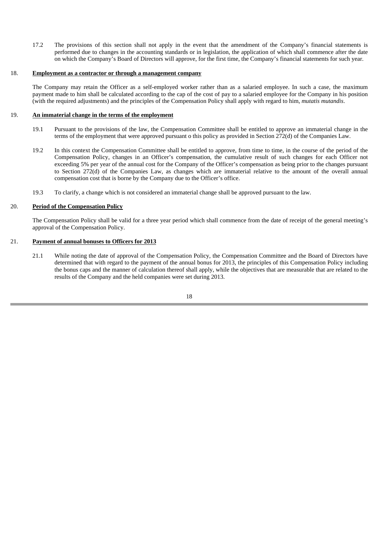17.2 The provisions of this section shall not apply in the event that the amendment of the Company's financial statements is performed due to changes in the accounting standards or in legislation, the application of which shall commence after the date on which the Company's Board of Directors will approve, for the first time, the Company's financial statements for such year.

#### 18. **Employment as a contractor or through a management company**

The Company may retain the Officer as a self-employed worker rather than as a salaried employee. In such a case, the maximum payment made to him shall be calculated according to the cap of the cost of pay to a salaried employee for the Company in his position (with the required adjustments) and the principles of the Compensation Policy shall apply with regard to him, *mutatis mutandis*.

#### 19. **An immaterial change in the terms of the employment**

- 19.1 Pursuant to the provisions of the law, the Compensation Committee shall be entitled to approve an immaterial change in the terms of the employment that were approved pursuant o this policy as provided in Section 272(d) of the Companies Law.
- 19.2 In this context the Compensation Committee shall be entitled to approve, from time to time, in the course of the period of the Compensation Policy, changes in an Officer's compensation, the cumulative result of such changes for each Officer not exceeding 5% per year of the annual cost for the Company of the Officer's compensation as being prior to the changes pursuant to Section 272(d) of the Companies Law, as changes which are immaterial relative to the amount of the overall annual compensation cost that is borne by the Company due to the Officer's office.
- 19.3 To clarify, a change which is not considered an immaterial change shall be approved pursuant to the law.

#### 20. **Period of the Compensation Policy**

The Compensation Policy shall be valid for a three year period which shall commence from the date of receipt of the general meeting's approval of the Compensation Policy.

#### 21. **Payment of annual bonuses to Officers for 2013**

21.1 While noting the date of approval of the Compensation Policy, the Compensation Committee and the Board of Directors have determined that with regard to the payment of the annual bonus for 2013, the principles of this Compensation Policy including the bonus caps and the manner of calculation thereof shall apply, while the objectives that are measurable that are related to the results of the Company and the held companies were set during 2013.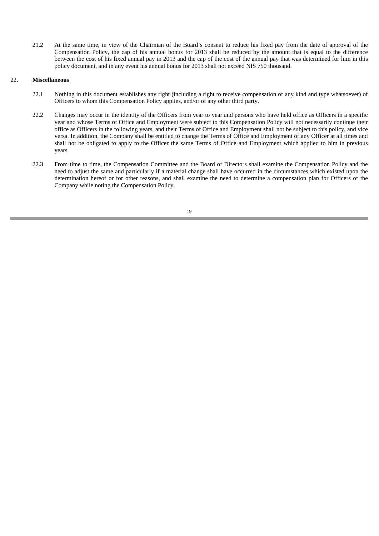21.2 At the same time, in view of the Chairman of the Board's consent to reduce his fixed pay from the date of approval of the Compensation Policy, the cap of his annual bonus for 2013 shall be reduced by the amount that is equal to the difference between the cost of his fixed annual pay in 2013 and the cap of the cost of the annual pay that was determined for him in this policy document, and in any event his annual bonus for 2013 shall not exceed NIS 750 thousand.

#### 22. **Miscellaneous**

- 22.1 Nothing in this document establishes any right (including a right to receive compensation of any kind and type whatsoever) of Officers to whom this Compensation Policy applies, and/or of any other third party.
- 22.2 Changes may occur in the identity of the Officers from year to year and persons who have held office as Officers in a specific year and whose Terms of Office and Employment were subject to this Compensation Policy will not necessarily continue their office as Officers in the following years, and their Terms of Office and Employment shall not be subject to this policy, and vice versa. In addition, the Company shall be entitled to change the Terms of Office and Employment of any Officer at all times and shall not be obligated to apply to the Officer the same Terms of Office and Employment which applied to him in previous years.
- 22.3 From time to time, the Compensation Committee and the Board of Directors shall examine the Compensation Policy and the need to adjust the same and particularly if a material change shall have occurred in the circumstances which existed upon the determination hereof or for other reasons, and shall examine the need to determine a compensation plan for Officers of the Company while noting the Compensation Policy.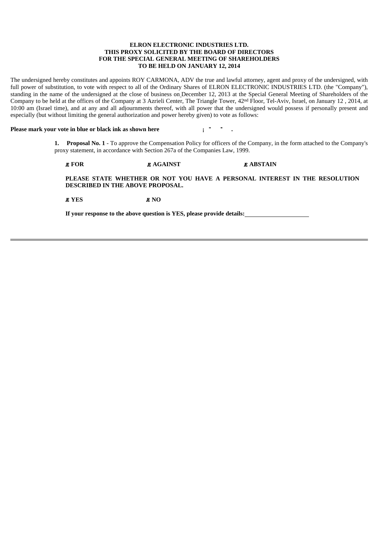#### **ELRON ELECTRONIC INDUSTRIES LTD. THIS PROXY SOLICITED BY THE BOARD OF DIRECTORS FOR THE SPECIAL GENERAL MEETING OF SHAREHOLDERS TO BE HELD ON JANUARY 12, 2014**

The undersigned hereby constitutes and appoints ROY CARMONA, ADV the true and lawful attorney, agent and proxy of the undersigned, with full power of substitution, to vote with respect to all of the Ordinary Shares of ELRON ELECTRONIC INDUSTRIES LTD. (the "Company"), standing in the name of the undersigned at the close of business on December 12, 2013 at the Special General Meeting of Shareholders of the Company to be held at the offices of the Company at 3 Azrieli Center, The Triangle Tower, 42nd Floor, Tel-Aviv, Israel, on January 12 , 2014, at 10:00 am (Israel time), and at any and all adjournments thereof, with all power that the undersigned would possess if personally present and especially (but without limiting the general authorization and power hereby given) to vote as follows:

#### **Please mark your vote in blue or black ink as shown here** *i***<sup></sup> \* \* .**

**1. Proposal No. 1** - To approve the Compensation Policy for officers of the Company, in the form attached to the Company's proxy statement, in accordance with Section 267a of the Companies Law, 1999.

# **E** FOR **AGAINST E** AGAINST **E** ABSTAIN

**PLEASE STATE WHETHER OR NOT YOU HAVE A PERSONAL INTEREST IN THE RESOLUTION DESCRIBED IN THE ABOVE PROPOSAL.**

**EXES EXES** 

**If your response to the above question is YES, please provide details:**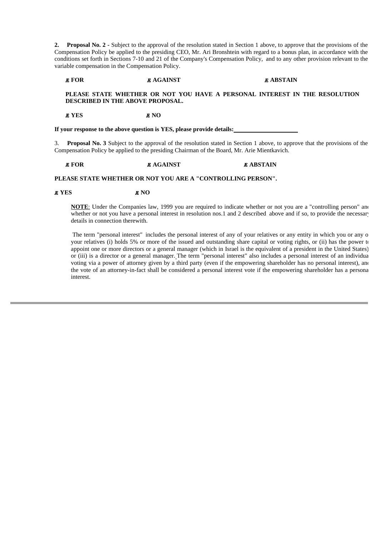**2. Proposal No. 2 -** Subject to the approval of the resolution stated in Section 1 above, to approve that the provisions of the Compensation Policy be applied to the presiding CEO, Mr. Ari Bronshtein with regard to a bonus plan, in accordance with the conditions set forth in Sections 7-10 and 21 of the Company's Compensation Policy, and to any other provision relevant to the variable compensation in the Compensation Policy.

**E AGAINST AGAINST ABSTAIN** 

#### **PLEASE STATE WHETHER OR NOT YOU HAVE A PERSONAL INTEREST IN THE RESOLUTION DESCRIBED IN THE ABOVE PROPOSAL.**

#### *X* YES *X* NO

**If your response to the above question is YES, please provide details:** 

3. **Proposal No. 3** Subject to the approval of the resolution stated in Section 1 above, to approve that the provisions of the Compensation Policy be applied to the presiding Chairman of the Board, Mr. Arie Mientkavich.

#### **E** FOR **AGAINST E** AGAINST **E** ABSTAIN

#### **PLEASE STATE WHETHER OR NOT YOU ARE A "CONTROLLING PERSON".**

#### **E** YES **E** NO

**NOTE**: Under the Companies law, 1999 you are required to indicate whether or not you are a "controlling person" and whether or not you have a personal interest in resolution nos.1 and 2 described above and if so, to provide the necessary details in connection therewith.

 The term "personal interest" includes the personal interest of any of your relatives or any entity in which you or any o your relatives (i) holds 5% or more of the issued and outstanding share capital or voting rights, or (ii) has the power to appoint one or more directors or a general manager (which in Israel is the equivalent of a president in the United States) or (iii) is a director or a general manager. The term "personal interest" also includes a personal interest of an individua voting via a power of attorney given by a third party (even if the empowering shareholder has no personal interest), and the vote of an attorney-in-fact shall be considered a personal interest vote if the empowering shareholder has a persona interest.